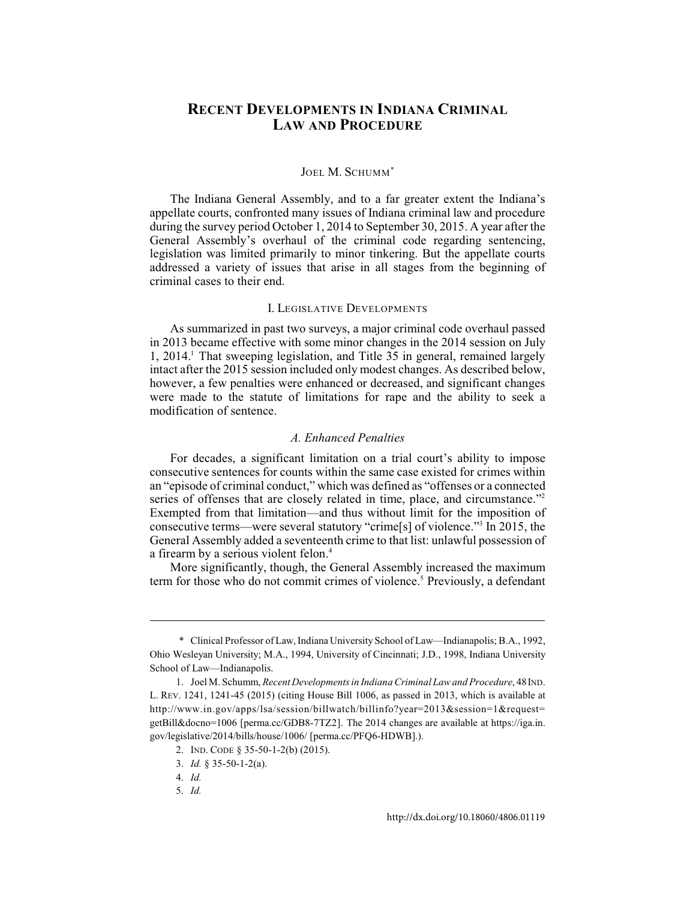# **RECENT DEVELOPMENTS IN INDIANA CRIMINAL LAW AND PROCEDURE**

## JOEL M. SCHUMM\*

The Indiana General Assembly, and to a far greater extent the Indiana's appellate courts, confronted many issues of Indiana criminal law and procedure during the survey period October 1, 2014 to September 30, 2015. A year after the General Assembly's overhaul of the criminal code regarding sentencing, legislation was limited primarily to minor tinkering. But the appellate courts addressed a variety of issues that arise in all stages from the beginning of criminal cases to their end.

#### I. LEGISLATIVE DEVELOPMENTS

As summarized in past two surveys, a major criminal code overhaul passed in 2013 became effective with some minor changes in the 2014 session on July 1, 2014. That sweeping legislation, and Title 35 in general, remained largely <sup>1</sup> intact after the 2015 session included only modest changes. As described below, however, a few penalties were enhanced or decreased, and significant changes were made to the statute of limitations for rape and the ability to seek a modification of sentence.

# *A. Enhanced Penalties*

For decades, a significant limitation on a trial court's ability to impose consecutive sentences for counts within the same case existed for crimes within an "episode of criminal conduct," which was defined as "offenses or a connected series of offenses that are closely related in time, place, and circumstance."<sup>2</sup> Exempted from that limitation—and thus without limit for the imposition of consecutive terms—were several statutory "crime[s] of violence."<sup>3</sup> In 2015, the General Assembly added a seventeenth crime to that list: unlawful possession of a firearm by a serious violent felon.<sup>4</sup>

More significantly, though, the General Assembly increased the maximum term for those who do not commit crimes of violence.<sup>5</sup> Previously, a defendant

<sup>\*</sup> Clinical Professor of Law, Indiana University School of Law—Indianapolis; B.A., 1992, Ohio Wesleyan University; M.A., 1994, University of Cincinnati; J.D., 1998, Indiana University School of Law—Indianapolis.

<sup>1.</sup> Joel M. Schumm, *Recent Developments in Indiana Criminal Law and Procedure*, 48IND. L. REV. [1241, 1241-45 \(2015\) \(](http://dx.doi.org/10.18060/4806.0041)citing House Bill 1006, as passed in 2013, which is available at http://www.in.gov/apps/lsa/session/billwatch/billinfo?year=2013&session=1&request= getBill&docno=1006 [perma.cc/GDB8-7TZ2]. The 2014 changes are available at https://iga.in. gov/legislative/2014/bills/house/1006/ [perma.cc/PFQ6-HDWB].).

<sup>2.</sup> IND. CODE § 35-50-1-2(b) (2015).

<sup>3.</sup> *Id.* § 35-50-1-2(a).

<sup>4.</sup> *Id.*

<sup>5.</sup> *Id.*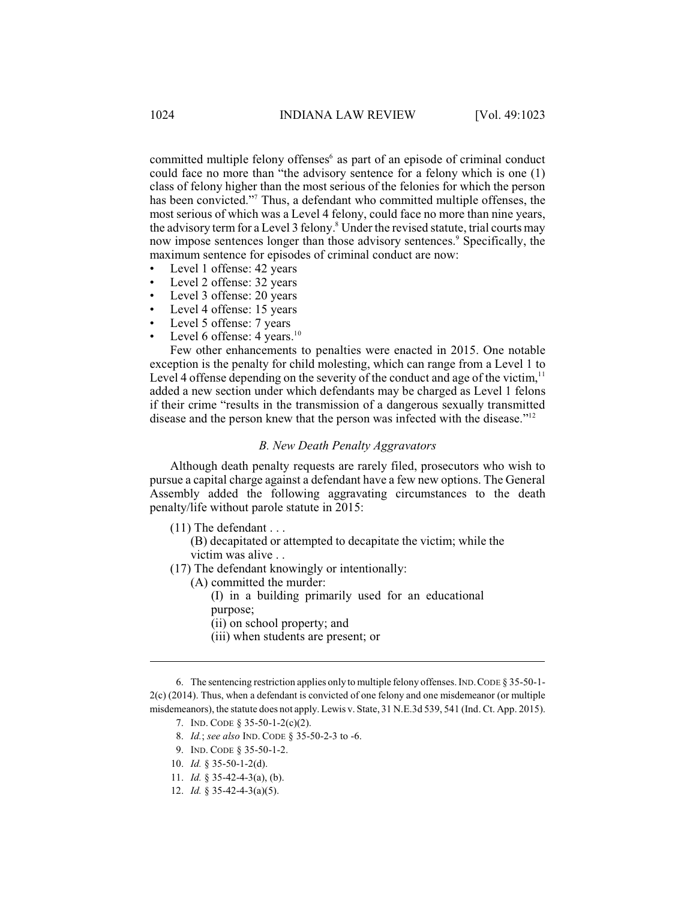committed multiple felony offenses<sup>6</sup> as part of an episode of criminal conduct could face no more than "the advisory sentence for a felony which is one (1) class of felony higher than the most serious of the felonies for which the person has been convicted."<sup>7</sup> Thus, a defendant who committed multiple offenses, the most serious of which was a Level 4 felony, could face no more than nine years, the advisory term for a Level 3 felony.<sup>8</sup> Under the revised statute, trial courts may now impose sentences longer than those advisory sentences.<sup>9</sup> Specifically, the maximum sentence for episodes of criminal conduct are now:

- Level 1 offense: 42 years
- Level 2 offense: 32 years
- Level 3 offense: 20 years
- Level 4 offense: 15 years
- Level 5 offense: 7 years
- Level 6 offense: 4 years. $10$

Few other enhancements to penalties were enacted in 2015. One notable exception is the penalty for child molesting, which can range from a Level 1 to Level 4 offense depending on the severity of the conduct and age of the victim,  $11$ added a new section under which defendants may be charged as Level 1 felons if their crime "results in the transmission of a dangerous sexually transmitted disease and the person knew that the person was infected with the disease."<sup>12</sup>

### *B. New Death Penalty Aggravators*

Although death penalty requests are rarely filed, prosecutors who wish to pursue a capital charge against a defendant have a few new options. The General Assembly added the following aggravating circumstances to the death penalty/life without parole statute in 2015:

(11) The defendant . . .

(B) decapitated or attempted to decapitate the victim; while the victim was alive . .

- (17) The defendant knowingly or intentionally:
	- (A) committed the murder:

(I) in a building primarily used for an educational purpose;

- (ii) on school property; and
- (iii) when students are present; or

- 7. IND. CODE § 35-50-1-2(c)(2).
- 8. *Id.*; *see also* IND. CODE § 35-50-2-3 to -6.
- 9. IND. CODE § 35-50-1-2.
- 10. *Id.* § 35-50-1-2(d).
- 11. *Id.* § 35-42-4-3(a), (b).
- 12. *Id.* § 35-42-4-3(a)(5).

<sup>6.</sup> The sentencing restriction applies only to multiple felony offenses. IND.CODE § 35-50-1- 2(c) (2014). Thus, when a defendant is convicted of one felony and one misdemeanor (or multiple misdemeanors), the statute does not apply. Lewis v. State, 31 N.E.3d 539, 541 (Ind. Ct. App. 2015).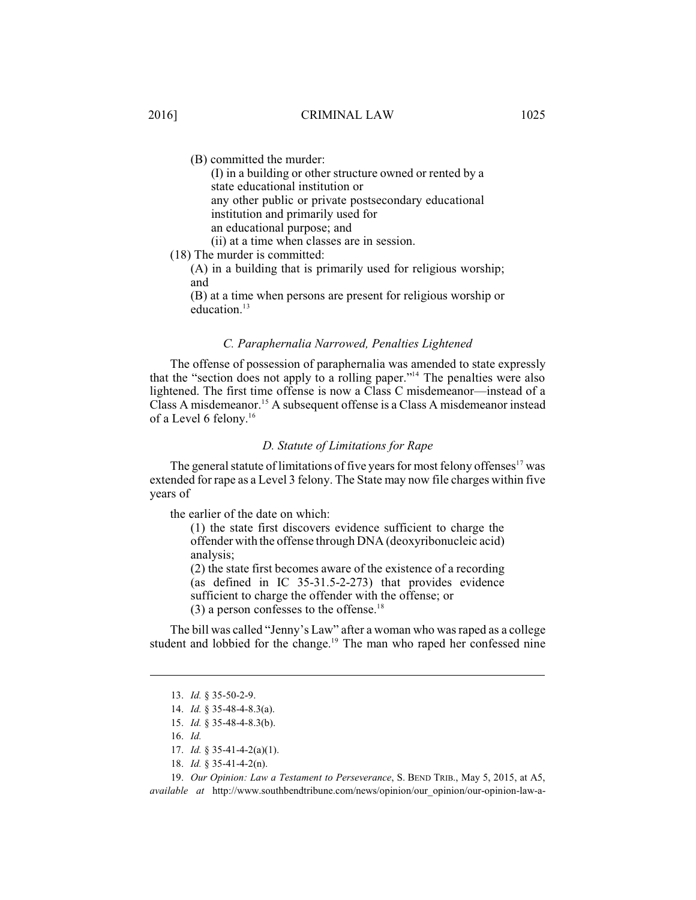# 2016] CRIMINAL LAW 1025

(B) committed the murder:

(I) in a building or other structure owned or rented by a state educational institution or any other public or private postsecondary educational institution and primarily used for an educational purpose; and (ii) at a time when classes are in session.

(18) The murder is committed:

(A) in a building that is primarily used for religious worship; and

(B) at a time when persons are present for religious worship or education. 13

# *C. Paraphernalia Narrowed, Penalties Lightened*

The offense of possession of paraphernalia was amended to state expressly that the "section does not apply to a rolling paper."<sup>14</sup> The penalties were also lightened. The first time offense is now a Class C misdemeanor—instead of a Class A misdemeanor.<sup>15</sup> A subsequent offense is a Class A misdemeanor instead of a Level 6 felony.<sup>16</sup>

### *D. Statute of Limitations for Rape*

The general statute of limitations of five years for most felony offenses $17$  was extended for rape as a Level 3 felony. The State may now file charges within five years of

the earlier of the date on which:

(1) the state first discovers evidence sufficient to charge the offender with the offense through DNA (deoxyribonucleic acid) analysis;

(2) the state first becomes aware of the existence of a recording (as defined in IC 35-31.5-2-273) that provides evidence sufficient to charge the offender with the offense; or  $(3)$  a person confesses to the offense.<sup>18</sup>

The bill was called "Jenny's Law" after a woman who was raped as a college student and lobbied for the change.<sup>19</sup> The man who raped her confessed nine

- 16. *Id.*
- 17. *Id.* § 35-41-4-2(a)(1).
- 18. *Id.* § 35-41-4-2(n).

19. *Our Opinion: Law a Testament to Perseverance*, S. BEND TRIB., May 5, 2015, at A5,

*available at* http://www.southbendtribune.com/news/opinion/our\_opinion/our-opinion-law-a-

<sup>13.</sup> *Id.* § 35-50-2-9.

<sup>14.</sup> *Id.* § 35-48-4-8.3(a).

<sup>15.</sup> *Id.* § 35-48-4-8.3(b).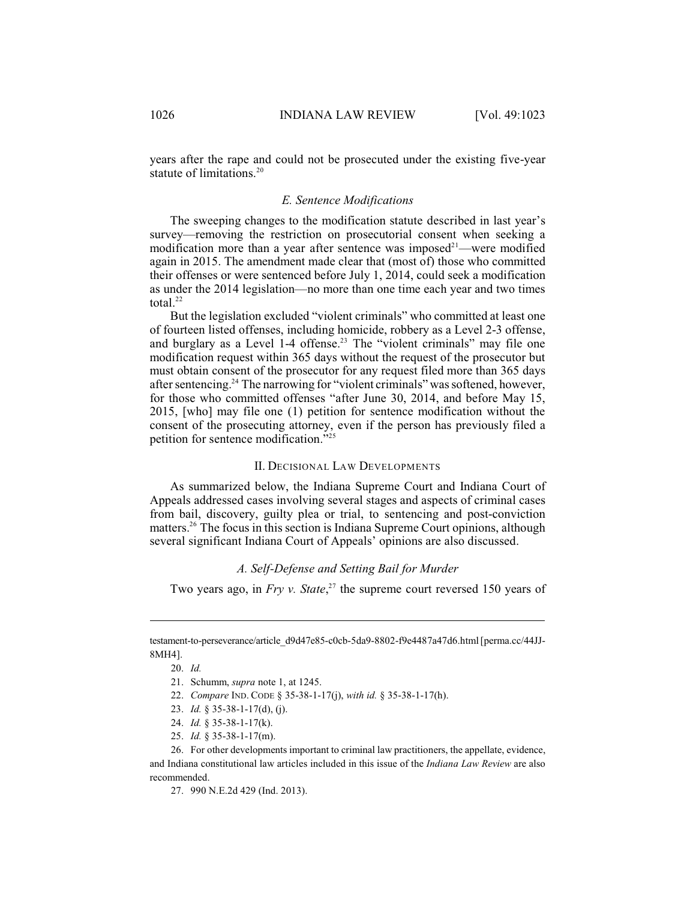years after the rape and could not be prosecuted under the existing five-year statute of limitations.<sup>20</sup>

## *E. Sentence Modifications*

The sweeping changes to the modification statute described in last year's survey—removing the restriction on prosecutorial consent when seeking a modification more than a year after sentence was imposed<sup>21</sup>—were modified again in 2015. The amendment made clear that (most of) those who committed their offenses or were sentenced before July 1, 2014, could seek a modification as under the 2014 legislation—no more than one time each year and two times total. 22

But the legislation excluded "violent criminals" who committed at least one of fourteen listed offenses, including homicide, robbery as a Level 2-3 offense, and burglary as a Level 1-4 offense.<sup>23</sup> The "violent criminals" may file one modification request within 365 days without the request of the prosecutor but must obtain consent of the prosecutor for any request filed more than 365 days after sentencing.<sup>24</sup> The narrowing for "violent criminals" was softened, however, for those who committed offenses "after June 30, 2014, and before May 15, 2015, [who] may file one (1) petition for sentence modification without the consent of the prosecuting attorney, even if the person has previously filed a petition for sentence modification."<sup>25</sup>

### II. DECISIONAL LAW DEVELOPMENTS

As summarized below, the Indiana Supreme Court and Indiana Court of Appeals addressed cases involving several stages and aspects of criminal cases from bail, discovery, guilty plea or trial, to sentencing and post-conviction matters. $26$  The focus in this section is Indiana Supreme Court opinions, although several significant Indiana Court of Appeals' opinions are also discussed.

# *A. Self-Defense and Setting Bail for Murder*

Two years ago, in  $Fry$  *v. State*,  $27$  the supreme court reversed 150 years of

testament-to-perseverance/article\_d9d47e85-c0cb-5da9-8802-f9e4487a47d6.html [perma.cc/44JJ-8MH4].

<sup>20.</sup> *Id.*

<sup>21.</sup> Schumm, *supra* note 1, at 1245.

<sup>22.</sup> *Compare* IND. CODE § 35-38-1-17(j), *with id.* § 35-38-1-17(h).

<sup>23.</sup> *Id.* § 35-38-1-17(d), (j).

<sup>24.</sup> *Id.* § 35-38-1-17(k).

<sup>25.</sup> *Id.* § 35-38-1-17(m).

<sup>26.</sup> For other developments important to criminal law practitioners, the appellate, evidence, and Indiana constitutional law articles included in this issue of the *Indiana Law Review* are also recommended.

<sup>27.</sup> 990 N.E.2d 429 (Ind. 2013).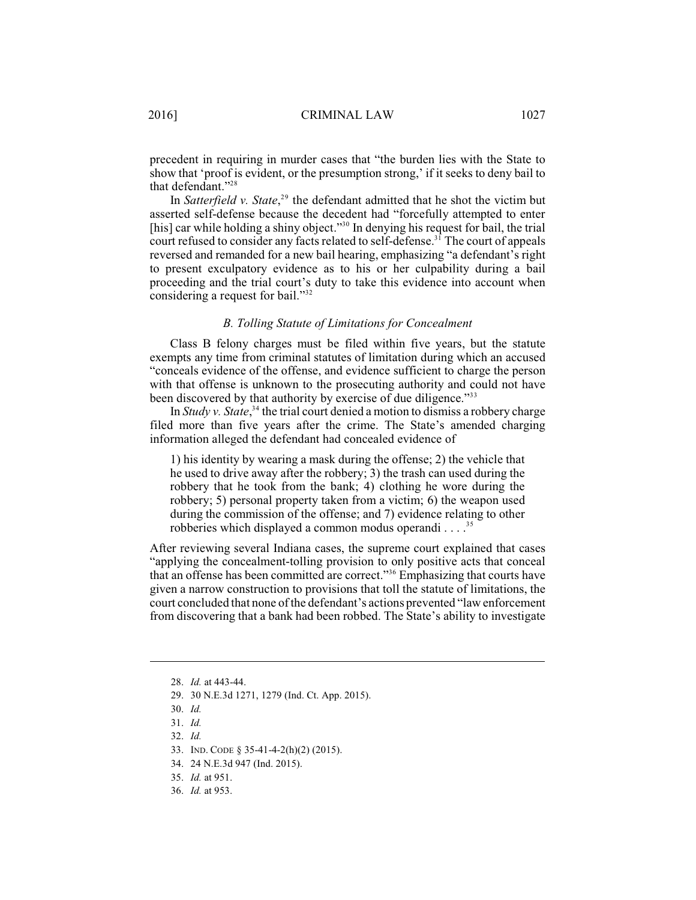precedent in requiring in murder cases that "the burden lies with the State to show that 'proof is evident, or the presumption strong,' if it seeks to deny bail to that defendant."<sup>28</sup>

In *Satterfield v. State*,<sup>29</sup> the defendant admitted that he shot the victim but asserted self-defense because the decedent had "forcefully attempted to enter [his] car while holding a shiny object."<sup>30</sup> In denying his request for bail, the trial court refused to consider any facts related to self-defense.<sup>31</sup> The court of appeals reversed and remanded for a new bail hearing, emphasizing "a defendant's right to present exculpatory evidence as to his or her culpability during a bail proceeding and the trial court's duty to take this evidence into account when considering a request for bail."<sup>32</sup>

#### *B. Tolling Statute of Limitations for Concealment*

Class B felony charges must be filed within five years, but the statute exempts any time from criminal statutes of limitation during which an accused "conceals evidence of the offense, and evidence sufficient to charge the person with that offense is unknown to the prosecuting authority and could not have been discovered by that authority by exercise of due diligence."<sup>33</sup>

In *Study v. State*,<sup>34</sup> the trial court denied a motion to dismiss a robbery charge filed more than five years after the crime. The State's amended charging information alleged the defendant had concealed evidence of

1) his identity by wearing a mask during the offense; 2) the vehicle that he used to drive away after the robbery; 3) the trash can used during the robbery that he took from the bank; 4) clothing he wore during the robbery; 5) personal property taken from a victim; 6) the weapon used during the commission of the offense; and 7) evidence relating to other robberies which displayed a common modus operandi . . . .<sup>35</sup>

After reviewing several Indiana cases, the supreme court explained that cases "applying the concealment-tolling provision to only positive acts that conceal that an offense has been committed are correct."<sup>36</sup> Emphasizing that courts have given a narrow construction to provisions that toll the statute of limitations, the court concluded that none of the defendant's actions prevented "law enforcement from discovering that a bank had been robbed. The State's ability to investigate

<sup>28.</sup> *Id.* at 443-44.

<sup>29.</sup> 30 N.E.3d 1271, 1279 (Ind. Ct. App. 2015).

<sup>30.</sup> *Id.*

<sup>31.</sup> *Id.*

<sup>32.</sup> *Id.*

<sup>33.</sup> IND. CODE § 35-41-4-2(h)(2) (2015).

<sup>34.</sup> 24 N.E.3d 947 (Ind. 2015).

<sup>35.</sup> *Id.* at 951.

<sup>36.</sup> *Id.* at 953.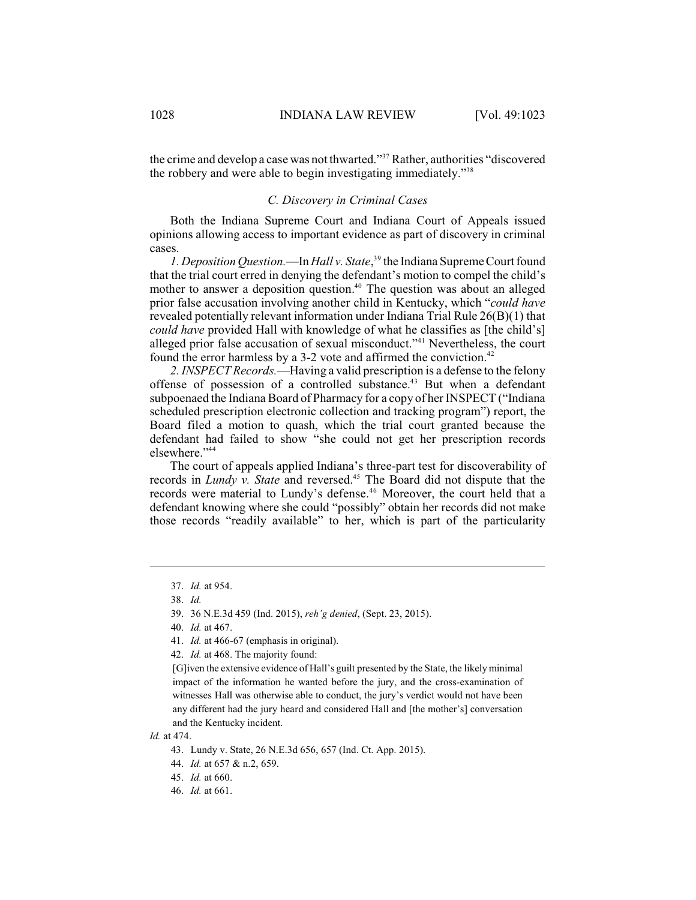the crime and develop a case was not thwarted."<sup>37</sup> Rather, authorities "discovered" the robbery and were able to begin investigating immediately."<sup>38</sup>

# *C. Discovery in Criminal Cases*

Both the Indiana Supreme Court and Indiana Court of Appeals issued opinions allowing access to important evidence as part of discovery in criminal cases.

*1. Deposition Question.*—In *Hall v. State*,<sup>39</sup> the Indiana Supreme Court found that the trial court erred in denying the defendant's motion to compel the child's mother to answer a deposition question.<sup>40</sup> The question was about an alleged prior false accusation involving another child in Kentucky, which "*could have* revealed potentially relevant information under Indiana Trial Rule 26(B)(1) that *could have* provided Hall with knowledge of what he classifies as [the child's] alleged prior false accusation of sexual misconduct."<sup>41</sup> Nevertheless, the court found the error harmless by a 3-2 vote and affirmed the conviction.<sup>42</sup>

*2. INSPECT Records.*—Having a valid prescription is a defense to the felony offense of possession of a controlled substance.<sup>43</sup> But when a defendant subpoenaed the Indiana Board of Pharmacy for a copy of her INSPECT ("Indiana scheduled prescription electronic collection and tracking program") report, the Board filed a motion to quash, which the trial court granted because the defendant had failed to show "she could not get her prescription records elsewhere."<sup>44</sup>

The court of appeals applied Indiana's three-part test for discoverability of records in *Lundy v. State* and reversed.<sup>45</sup> The Board did not dispute that the records were material to Lundy's defense.<sup>46</sup> Moreover, the court held that a defendant knowing where she could "possibly" obtain her records did not make those records "readily available" to her, which is part of the particularity

42. *Id.* at 468. The majority found:

[G]iven the extensive evidence of Hall's guilt presented by the State, the likely minimal impact of the information he wanted before the jury, and the cross-examination of witnesses Hall was otherwise able to conduct, the jury's verdict would not have been any different had the jury heard and considered Hall and [the mother's] conversation and the Kentucky incident.

<sup>37.</sup> *Id.* at 954.

<sup>38.</sup> *Id.*

<sup>39.</sup> 36 N.E.3d 459 (Ind. 2015), *reh'g denied*, (Sept. 23, 2015).

<sup>40.</sup> *Id.* at 467.

<sup>41.</sup> *Id.* at 466-67 (emphasis in original).

*Id.* at 474.

<sup>43.</sup> Lundy v. State, 26 N.E.3d 656, 657 (Ind. Ct. App. 2015).

<sup>44.</sup> *Id.* at 657 & n.2, 659.

<sup>45.</sup> *Id.* at 660.

<sup>46.</sup> *Id.* at 661.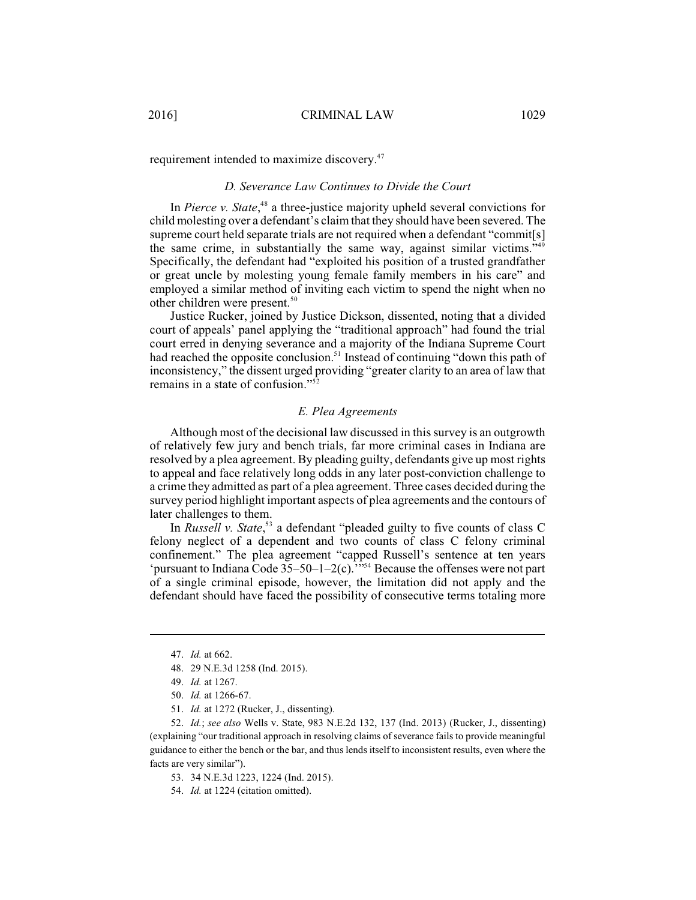requirement intended to maximize discovery.<sup>47</sup>

# *D. Severance Law Continues to Divide the Court*

In Pierce *v*. State,<sup>48</sup> a three-justice majority upheld several convictions for child molesting over a defendant's claimthat they should have been severed. The supreme court held separate trials are not required when a defendant "commit[s] the same crime, in substantially the same way, against similar victims."<sup>49</sup> Specifically, the defendant had "exploited his position of a trusted grandfather or great uncle by molesting young female family members in his care" and employed a similar method of inviting each victim to spend the night when no other children were present.<sup>50</sup>

Justice Rucker, joined by Justice Dickson, dissented, noting that a divided court of appeals' panel applying the "traditional approach" had found the trial court erred in denying severance and a majority of the Indiana Supreme Court had reached the opposite conclusion.<sup>51</sup> Instead of continuing "down this path of inconsistency," the dissent urged providing "greater clarity to an area of law that remains in a state of confusion."<sup>52</sup>

# *E. Plea Agreements*

Although most of the decisional law discussed in this survey is an outgrowth of relatively few jury and bench trials, far more criminal cases in Indiana are resolved by a plea agreement. By pleading guilty, defendants give up most rights to appeal and face relatively long odds in any later post-conviction challenge to a crime they admitted as part of a plea agreement. Three cases decided during the survey period highlight important aspects of plea agreements and the contours of later challenges to them.

In *Russell v. State*,<sup>53</sup> a defendant "pleaded guilty to five counts of class C felony neglect of a dependent and two counts of class C felony criminal confinement." The plea agreement "capped Russell's sentence at ten years 'pursuant to Indiana Code  $35-50-1-2(c)$ .'"<sup>54</sup> Because the offenses were not part of a single criminal episode, however, the limitation did not apply and the defendant should have faced the possibility of consecutive terms totaling more

51. *Id.* at 1272 (Rucker, J., dissenting).

52. *Id.*; *see also* Wells v. State, 983 N.E.2d 132, 137 (Ind. 2013) (Rucker, J., dissenting) (explaining "our traditional approach in resolving claims of severance fails to provide meaningful guidance to either the bench or the bar, and thus lends itself to inconsistent results, even where the facts are very similar").

- 53. 34 N.E.3d 1223, 1224 (Ind. 2015).
- 54. *Id.* at 1224 (citation omitted).

<sup>47.</sup> *Id.* at 662.

<sup>48.</sup> 29 N.E.3d 1258 (Ind. 2015).

<sup>49.</sup> *Id.* at 1267.

<sup>50.</sup> *Id.* at 1266-67.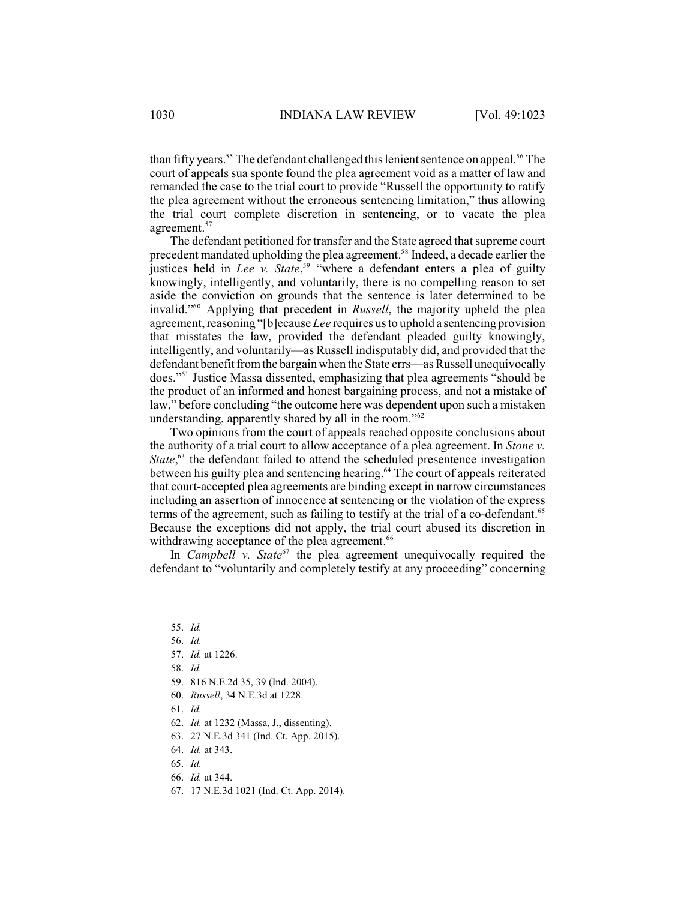than fifty years.<sup>55</sup> The defendant challenged this lenient sentence on appeal.<sup>56</sup> The court of appeals sua sponte found the plea agreement void as a matter of law and remanded the case to the trial court to provide "Russell the opportunity to ratify the plea agreement without the erroneous sentencing limitation," thus allowing the trial court complete discretion in sentencing, or to vacate the plea agreement. 57

The defendant petitioned for transfer and the State agreed that supreme court precedent mandated upholding the plea agreement.<sup>58</sup> Indeed, a decade earlier the justices held in *Lee v. State*,<sup>59</sup> "where a defendant enters a plea of guilty knowingly, intelligently, and voluntarily, there is no compelling reason to set aside the conviction on grounds that the sentence is later determined to be invalid."<sup>60</sup> Applying that precedent in *Russell*, the majority upheld the plea agreement, reasoning "[b]ecause *Lee* requires us to uphold a sentencing provision that misstates the law, provided the defendant pleaded guilty knowingly, intelligently, and voluntarily—as Russell indisputably did, and provided that the defendant benefit fromthe bargain when the State errs—as Russell unequivocally does."<sup>61</sup> Justice Massa dissented, emphasizing that plea agreements "should be the product of an informed and honest bargaining process, and not a mistake of law," before concluding "the outcome here was dependent upon such a mistaken understanding, apparently shared by all in the room."<sup>62</sup>

Two opinions from the court of appeals reached opposite conclusions about the authority of a trial court to allow acceptance of a plea agreement. In *Stone v. State*,<sup>63</sup> the defendant failed to attend the scheduled presentence investigation between his guilty plea and sentencing hearing.<sup>64</sup> The court of appeals reiterated that court-accepted plea agreements are binding except in narrow circumstances including an assertion of innocence at sentencing or the violation of the express terms of the agreement, such as failing to testify at the trial of a co-defendant.<sup>65</sup> Because the exceptions did not apply, the trial court abused its discretion in withdrawing acceptance of the plea agreement.<sup>66</sup>

In *Campbell v. State*<sup> $67$ </sup> the plea agreement unequivocally required the defendant to "voluntarily and completely testify at any proceeding" concerning

- 63. 27 N.E.3d 341 (Ind. Ct. App. 2015).
- 64. *Id.* at 343.
- 65. *Id.*
- 66. *Id.* at 344.
- 67. 17 N.E.3d 1021 (Ind. Ct. App. 2014).

<sup>55.</sup> *Id.*

<sup>56.</sup> *Id.*

<sup>57.</sup> *Id.* at 1226.

<sup>58.</sup> *Id.*

<sup>59.</sup> 816 N.E.2d 35, 39 (Ind. 2004).

<sup>60.</sup> *Russell*, 34 N.E.3d at 1228.

<sup>61.</sup> *Id.*

<sup>62.</sup> *Id.* at 1232 (Massa, J., dissenting).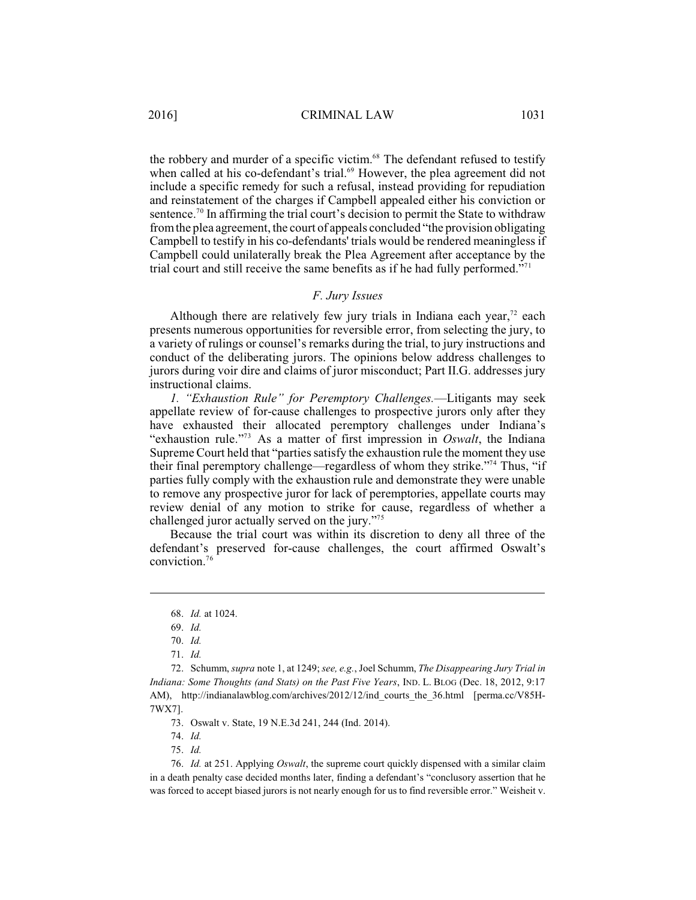the robbery and murder of a specific victim.<sup>68</sup> The defendant refused to testify when called at his co-defendant's trial. $^{69}$  However, the plea agreement did not include a specific remedy for such a refusal, instead providing for repudiation and reinstatement of the charges if Campbell appealed either his conviction or sentence.<sup>70</sup> In affirming the trial court's decision to permit the State to withdraw fromthe plea agreement, the court of appeals concluded "the provision obligating Campbell to testify in his co-defendants' trials would be rendered meaningless if Campbell could unilaterally break the Plea Agreement after acceptance by the trial court and still receive the same benefits as if he had fully performed."<sup>71</sup>

# *F. Jury Issues*

Although there are relatively few jury trials in Indiana each year, $72$  each presents numerous opportunities for reversible error, from selecting the jury, to a variety of rulings or counsel's remarks during the trial, to jury instructions and conduct of the deliberating jurors. The opinions below address challenges to jurors during voir dire and claims of juror misconduct; Part II.G. addresses jury instructional claims.

*1. "Exhaustion Rule" for Peremptory Challenges.*—Litigants may seek appellate review of for-cause challenges to prospective jurors only after they have exhausted their allocated peremptory challenges under Indiana's "exhaustion rule."<sup> $73$ </sup> As a matter of first impression in *Oswalt*, the Indiana Supreme Court held that "parties satisfy the exhaustion rule the moment they use their final peremptory challenge—regardless of whom they strike."<sup>74</sup> Thus, "if parties fully comply with the exhaustion rule and demonstrate they were unable to remove any prospective juror for lack of peremptories, appellate courts may review denial of any motion to strike for cause, regardless of whether a challenged juror actually served on the jury."<sup>75</sup>

Because the trial court was within its discretion to deny all three of the defendant's preserved for-cause challenges, the court affirmed Oswalt's conviction. $76$ 

72. Schumm, *supra* note 1, at 1249; *see, e.g.*, Joel Schumm, *The Disappearing Jury Trial in Indiana: Some Thoughts (and Stats) on the Past Five Years*, IND. L. BLOG (Dec. 18, 2012, 9:17 AM), http://indianalawblog.com/archives/2012/12/ind courts the 36.html [perma.cc/V85H-7WX7].

73. Oswalt v. State, 19 N.E.3d 241, 244 (Ind. 2014).

74. *Id.*

75. *Id.*

76. *Id.* at 251. Applying *Oswalt*, the supreme court quickly dispensed with a similar claim in a death penalty case decided months later, finding a defendant's "conclusory assertion that he was forced to accept biased jurors is not nearly enough for us to find reversible error." Weisheit v.

<sup>68.</sup> *Id.* at 1024.

<sup>69.</sup> *Id.*

<sup>70.</sup> *Id.*

<sup>71.</sup> *Id.*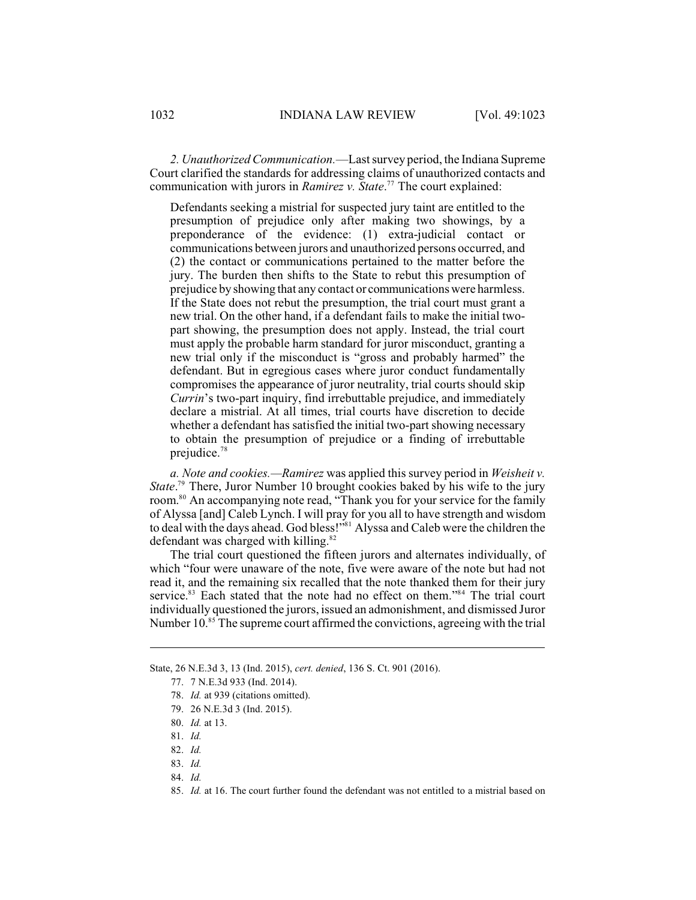*2. Unauthorized Communication.*—Lastsurvey period, the Indiana Supreme Court clarified the standards for addressing claims of unauthorized contacts and communication with jurors in *Ramirez v. State*.<sup>77</sup> The court explained:

Defendants seeking a mistrial for suspected jury taint are entitled to the presumption of prejudice only after making two showings, by a preponderance of the evidence: (1) extra-judicial contact or communications between jurors and unauthorized persons occurred, and (2) the contact or communications pertained to the matter before the jury. The burden then shifts to the State to rebut this presumption of prejudice by showing that any contact or communications were harmless. If the State does not rebut the presumption, the trial court must grant a new trial. On the other hand, if a defendant fails to make the initial twopart showing, the presumption does not apply. Instead, the trial court must apply the probable harm standard for juror misconduct, granting a new trial only if the misconduct is "gross and probably harmed" the defendant. But in egregious cases where juror conduct fundamentally compromises the appearance of juror neutrality, trial courts should skip *Currin*'s two-part inquiry, find irrebuttable prejudice, and immediately declare a mistrial. At all times, trial courts have discretion to decide whether a defendant has satisfied the initial two-part showing necessary to obtain the presumption of prejudice or a finding of irrebuttable prejudice.<sup>78</sup>

*a. Note and cookies.—Ramirez* was applied this survey period in *Weisheit v. State*.<sup>79</sup> There, Juror Number 10 brought cookies baked by his wife to the jury room.<sup>80</sup> An accompanying note read, "Thank you for your service for the family of Alyssa [and] Caleb Lynch. I will pray for you all to have strength and wisdom to deal with the days ahead. God bless!"<sup>81</sup> Alyssa and Caleb were the children the defendant was charged with killing.<sup>82</sup>

The trial court questioned the fifteen jurors and alternates individually, of which "four were unaware of the note, five were aware of the note but had not read it, and the remaining six recalled that the note thanked them for their jury service.<sup>83</sup> Each stated that the note had no effect on them."<sup>84</sup> The trial court individually questioned the jurors, issued an admonishment, and dismissed Juror Number 10.<sup>85</sup> The supreme court affirmed the convictions, agreeing with the trial

State, 26 N.E.3d 3, 13 (Ind. 2015), *cert. denied*, 136 S. Ct. 901 (2016).

- 82. *Id.*
- 83. *Id.*
- 84. *Id.*

<sup>77.</sup> 7 N.E.3d 933 (Ind. 2014).

<sup>78.</sup> *Id.* at 939 (citations omitted).

<sup>79.</sup> 26 N.E.3d 3 (Ind. 2015).

<sup>80.</sup> *Id.* at 13.

<sup>81.</sup> *Id.*

<sup>85.</sup> *Id.* at 16. The court further found the defendant was not entitled to a mistrial based on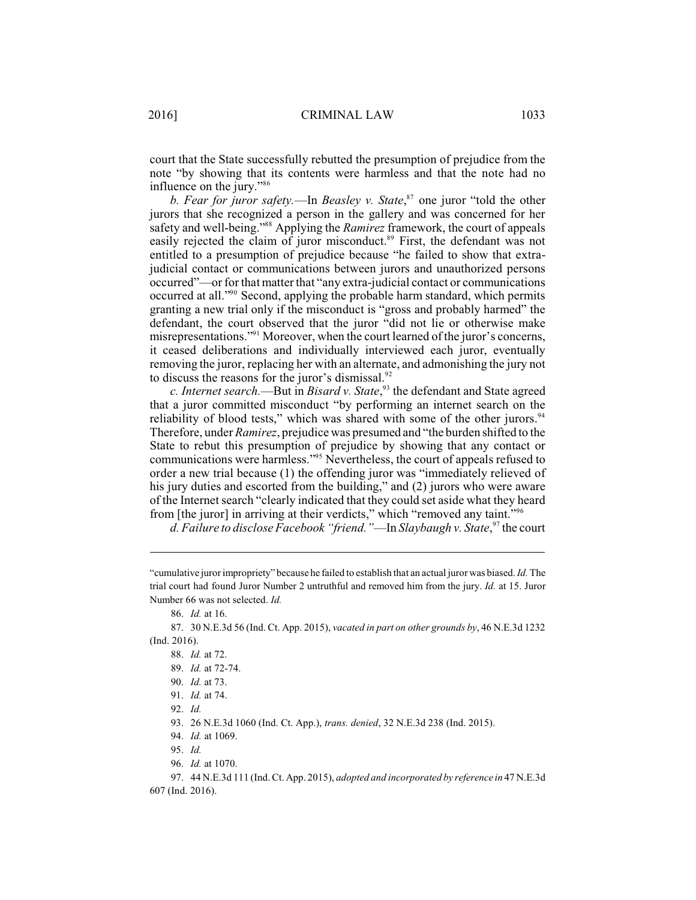court that the State successfully rebutted the presumption of prejudice from the note "by showing that its contents were harmless and that the note had no influence on the jury."<sup>86</sup>

*b. Fear for juror safety.*—In *Beasley v. State*,<sup>87</sup> one juror "told the other jurors that she recognized a person in the gallery and was concerned for her safety and well-being."<sup>88</sup> Applying the *Ramirez* framework, the court of appeals easily rejected the claim of juror misconduct.<sup>89</sup> First, the defendant was not entitled to a presumption of prejudice because "he failed to show that extrajudicial contact or communications between jurors and unauthorized persons occurred"—or for that matter that "any extra-judicial contact or communications occurred at all."<sup>90</sup> Second, applying the probable harm standard, which permits granting a new trial only if the misconduct is "gross and probably harmed" the defendant, the court observed that the juror "did not lie or otherwise make misrepresentations."<sup>91</sup> Moreover, when the court learned of the juror's concerns, it ceased deliberations and individually interviewed each juror, eventually removing the juror, replacing her with an alternate, and admonishing the jury not to discuss the reasons for the juror's dismissal. $92$ 

c. Internet search.—But in *Bisard v*. State,<sup>93</sup> the defendant and State agreed that a juror committed misconduct "by performing an internet search on the reliability of blood tests," which was shared with some of the other jurors.<sup>94</sup> Therefore, under *Ramirez*, prejudice was presumed and "the burden shifted to the State to rebut this presumption of prejudice by showing that any contact or communications were harmless."<sup>95</sup> Nevertheless, the court of appeals refused to order a new trial because (1) the offending juror was "immediately relieved of his jury duties and escorted from the building," and (2) jurors who were aware of the Internet search "clearly indicated that they could set aside what they heard from [the juror] in arriving at their verdicts," which "removed any taint."<sup>96</sup>

*d. Failure to disclose Facebook "friend."*—In *Slaybaugh v. State*,<sup>97</sup> the court

86. *Id.* at 16.

87. 30 N.E.3d 56 (Ind. Ct. App. 2015), *vacated in part on other grounds by*, 46 N.E.3d 1232 (Ind. 2016).

- 89. *Id.* at 72-74.
- 90. *Id.* at 73.
- 91. *Id.* at 74.

93. 26 N.E.3d 1060 (Ind. Ct. App.), *trans. denied*, 32 N.E.3d 238 (Ind. 2015).

- 95. *Id.*
- 96. *Id.* at 1070.

97. 44 N.E.3d 111 (Ind. Ct. App. 2015), *adopted and incorporated by reference in* 47 N.E.3d 607 (Ind. 2016).

<sup>&</sup>quot;cumulative juror impropriety" because he failed to establish that an actual juror was biased. *Id.*The trial court had found Juror Number 2 untruthful and removed him from the jury. *Id.* at 15. Juror Number 66 was not selected. *Id.*

<sup>88.</sup> *Id.* at 72.

<sup>92.</sup> *Id.*

<sup>94.</sup> *Id.* at 1069.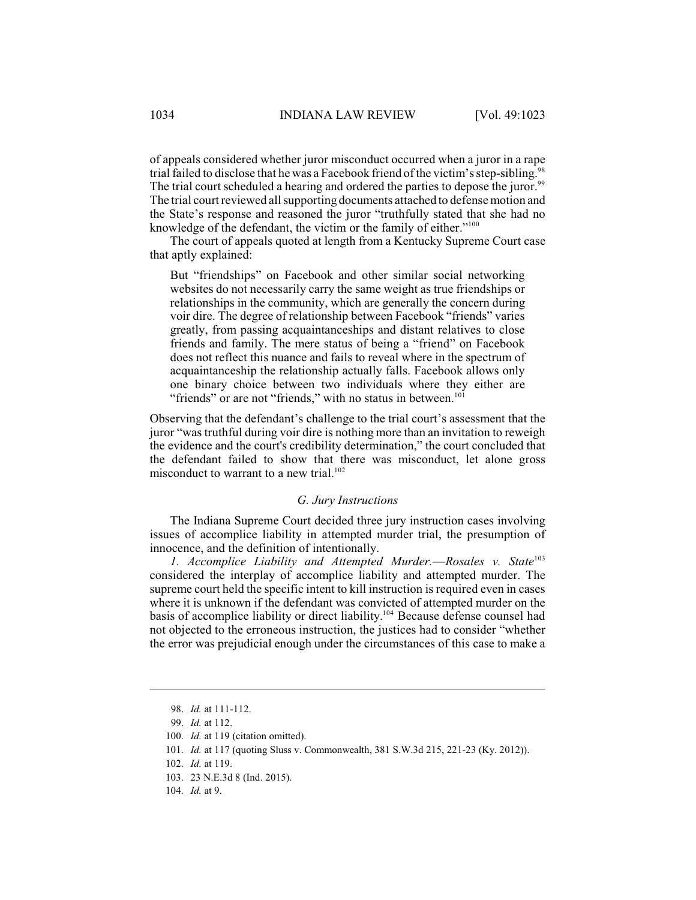of appeals considered whether juror misconduct occurred when a juror in a rape trial failed to disclose that he was a Facebook friend of the victim's step-sibling. The trial court scheduled a hearing and ordered the parties to depose the juror.<sup>99</sup> The trial court reviewed all supporting documents attached to defense motion and the State's response and reasoned the juror "truthfully stated that she had no knowledge of the defendant, the victim or the family of either."<sup>100</sup>

The court of appeals quoted at length from a Kentucky Supreme Court case that aptly explained:

But "friendships" on Facebook and other similar social networking websites do not necessarily carry the same weight as true friendships or relationships in the community, which are generally the concern during voir dire. The degree of relationship between Facebook "friends" varies greatly, from passing acquaintanceships and distant relatives to close friends and family. The mere status of being a "friend" on Facebook does not reflect this nuance and fails to reveal where in the spectrum of acquaintanceship the relationship actually falls. Facebook allows only one binary choice between two individuals where they either are "friends" or are not "friends," with no status in between.<sup>101</sup>

Observing that the defendant's challenge to the trial court's assessment that the juror "was truthful during voir dire is nothing more than an invitation to reweigh the evidence and the court's credibility determination," the court concluded that the defendant failed to show that there was misconduct, let alone gross misconduct to warrant to a new trial. $102$ 

# *G. Jury Instructions*

The Indiana Supreme Court decided three jury instruction cases involving issues of accomplice liability in attempted murder trial, the presumption of innocence, and the definition of intentionally.

*1. Accomplice Liability and Attempted Murder.*—*Rosales v. State*<sup>103</sup> considered the interplay of accomplice liability and attempted murder. The supreme court held the specific intent to kill instruction is required even in cases where it is unknown if the defendant was convicted of attempted murder on the basis of accomplice liability or direct liability.<sup>104</sup> Because defense counsel had not objected to the erroneous instruction, the justices had to consider "whether the error was prejudicial enough under the circumstances of this case to make a

<sup>98.</sup> *Id.* at 111-112.

<sup>99.</sup> *Id.* at 112.

<sup>100.</sup> *Id.* at 119 (citation omitted).

<sup>101.</sup> *Id.* at 117 (quoting Sluss v. Commonwealth, 381 S.W.3d 215, 221-23 (Ky. 2012)).

<sup>102.</sup> *Id.* at 119.

<sup>103.</sup> 23 N.E.3d 8 (Ind. 2015).

<sup>104.</sup> *Id.* at 9.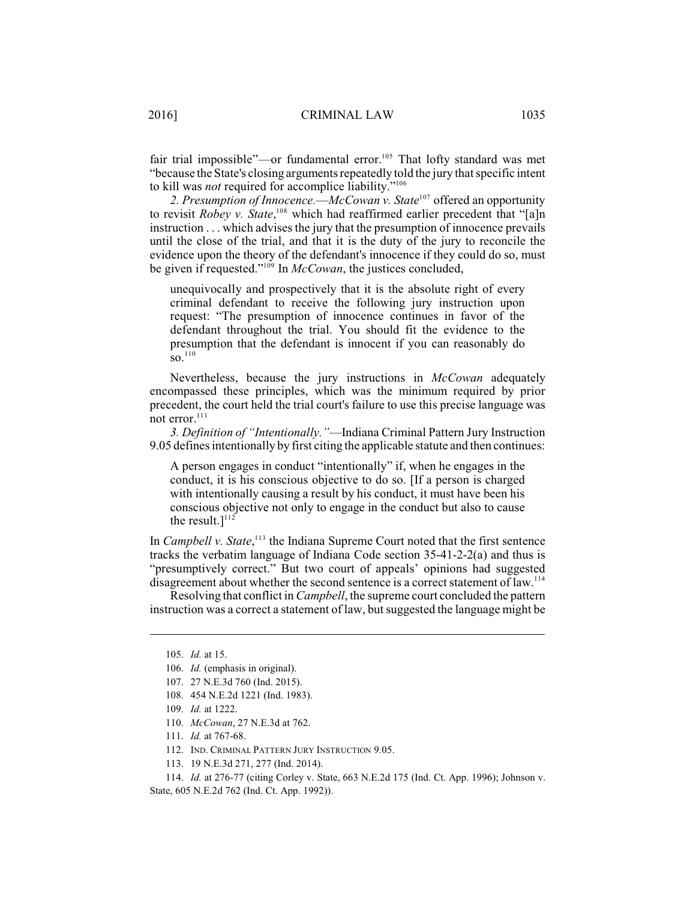fair trial impossible"—or fundamental error.<sup>105</sup> That lofty standard was met "because the State's closing arguments repeatedly told the jury that specific intent to kill was *not* required for accomplice liability."<sup>106</sup>

2. Presumption of Innocence.—*McCowan v. State<sup>107</sup>* offered an opportunity to revisit *Robey v. State*,<sup>108</sup> which had reaffirmed earlier precedent that "[a]n instruction . . . which advises the jury that the presumption of innocence prevails until the close of the trial, and that it is the duty of the jury to reconcile the evidence upon the theory of the defendant's innocence if they could do so, must be given if requested."<sup>109</sup> In *McCowan*, the justices concluded,

unequivocally and prospectively that it is the absolute right of every criminal defendant to receive the following jury instruction upon request: "The presumption of innocence continues in favor of the defendant throughout the trial. You should fit the evidence to the presumption that the defendant is innocent if you can reasonably do  $\text{SO}$ <sup>110</sup>

Nevertheless, because the jury instructions in *McCowan* adequately encompassed these principles, which was the minimum required by prior precedent, the court held the trial court's failure to use this precise language was not error.<sup>111</sup>

*3. Definition of "Intentionally."*—Indiana Criminal Pattern Jury Instruction 9.05 defines intentionally by first citing the applicable statute and then continues:

A person engages in conduct "intentionally" if, when he engages in the conduct, it is his conscious objective to do so. [If a person is charged with intentionally causing a result by his conduct, it must have been his conscious objective not only to engage in the conduct but also to cause the result.] $112$ 

In *Campbell v. State*,<sup>113</sup> the Indiana Supreme Court noted that the first sentence tracks the verbatim language of Indiana Code section  $35-41-2-2(a)$  and thus is "presumptively correct." But two court of appeals' opinions had suggested disagreement about whether the second sentence is a correct statement of law.<sup>114</sup>

Resolving that conflict in *Campbell*, the supreme court concluded the pattern instruction was a correct a statement of law, but suggested the language might be

114. *Id.* at 276-77 (citing Corley v. State, 663 N.E.2d 175 (Ind. Ct. App. 1996); Johnson v. State, 605 N.E.2d 762 (Ind. Ct. App. 1992)).

<sup>105.</sup> *Id.* at 15.

<sup>106.</sup> *Id.* (emphasis in original).

<sup>107.</sup> 27 N.E.3d 760 (Ind. 2015).

<sup>108.</sup> 454 N.E.2d 1221 (Ind. 1983).

<sup>109.</sup> *Id.* at 1222.

<sup>110.</sup> *McCowan*, 27 N.E.3d at 762.

<sup>111.</sup> *Id.* at 767-68.

<sup>112.</sup> IND. CRIMINAL PATTERN JURY INSTRUCTION 9.05.

<sup>113.</sup> 19 N.E.3d 271, 277 (Ind. 2014).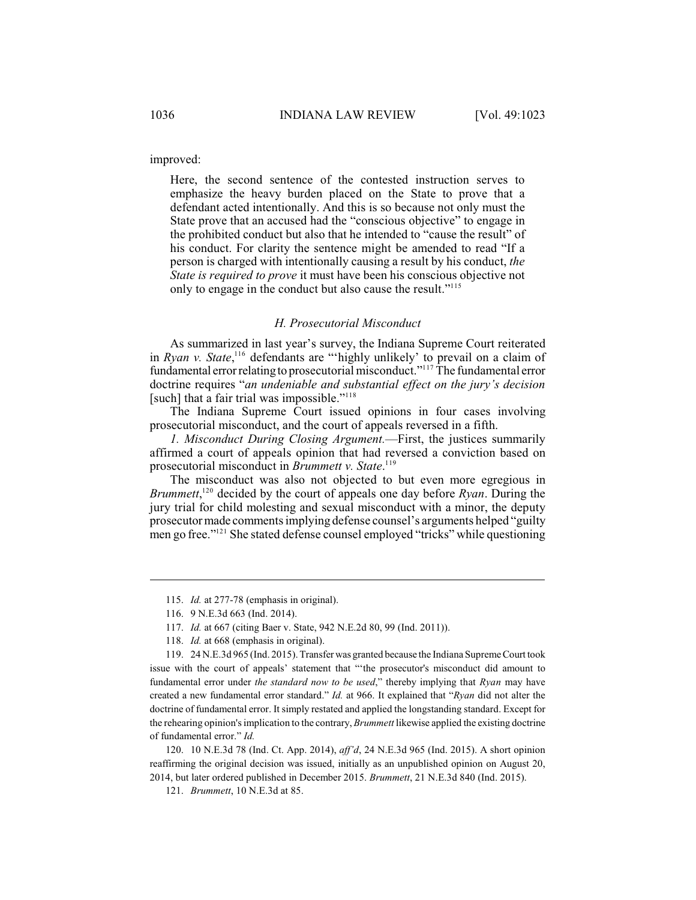improved:

Here, the second sentence of the contested instruction serves to emphasize the heavy burden placed on the State to prove that a defendant acted intentionally. And this is so because not only must the State prove that an accused had the "conscious objective" to engage in the prohibited conduct but also that he intended to "cause the result" of his conduct. For clarity the sentence might be amended to read "If a person is charged with intentionally causing a result by his conduct, *the State is required to prove* it must have been his conscious objective not only to engage in the conduct but also cause the result."<sup>115</sup>

#### *H. Prosecutorial Misconduct*

As summarized in last year's survey, the Indiana Supreme Court reiterated in  $Ryan$  *v. State*,<sup>116</sup> defendants are "'highly unlikely' to prevail on a claim of fundamental error relating to prosecutorial misconduct."<sup>117</sup> The fundamental error doctrine requires "*an undeniable and substantial effect on the jury's decision* [such] that a fair trial was impossible."<sup>118</sup>

The Indiana Supreme Court issued opinions in four cases involving prosecutorial misconduct, and the court of appeals reversed in a fifth.

*1. Misconduct During Closing Argument.*—First, the justices summarily affirmed a court of appeals opinion that had reversed a conviction based on prosecutorial misconduct in *Brummett v. State*. 119

The misconduct was also not objected to but even more egregious in *Brummett*,<sup> $120$ </sup> decided by the court of appeals one day before *Ryan*. During the jury trial for child molesting and sexual misconduct with a minor, the deputy prosecutor made comments implying defense counsel's arguments helped "guilty men go free."<sup>121</sup> She stated defense counsel employed "tricks" while questioning

120. 10 N.E.3d 78 (Ind. Ct. App. 2014), *aff'd*, 24 N.E.3d 965 (Ind. 2015). A short opinion reaffirming the original decision was issued, initially as an unpublished opinion on August 20, 2014, but later ordered published in December 2015. *Brummett*, 21 N.E.3d 840 (Ind. 2015).

121. *Brummett*, 10 N.E.3d at 85.

<sup>115.</sup> *Id.* at 277-78 (emphasis in original).

<sup>116.</sup> 9 N.E.3d 663 (Ind. 2014).

<sup>117.</sup> *Id.* at 667 (citing Baer v. State, 942 N.E.2d 80, 99 (Ind. 2011)).

<sup>118.</sup> *Id.* at 668 (emphasis in original).

<sup>119.</sup> 24 N.E.3d 965 (Ind. 2015). Transfer was granted because the Indiana Supreme Court took issue with the court of appeals' statement that "'the prosecutor's misconduct did amount to fundamental error under *the standard now to be used*," thereby implying that *Ryan* may have created a new fundamental error standard." *Id.* at 966. It explained that "*Ryan* did not alter the doctrine of fundamental error. It simply restated and applied the longstanding standard. Except for the rehearing opinion's implication to the contrary, *Brummett* likewise applied the existing doctrine of fundamental error." *Id.*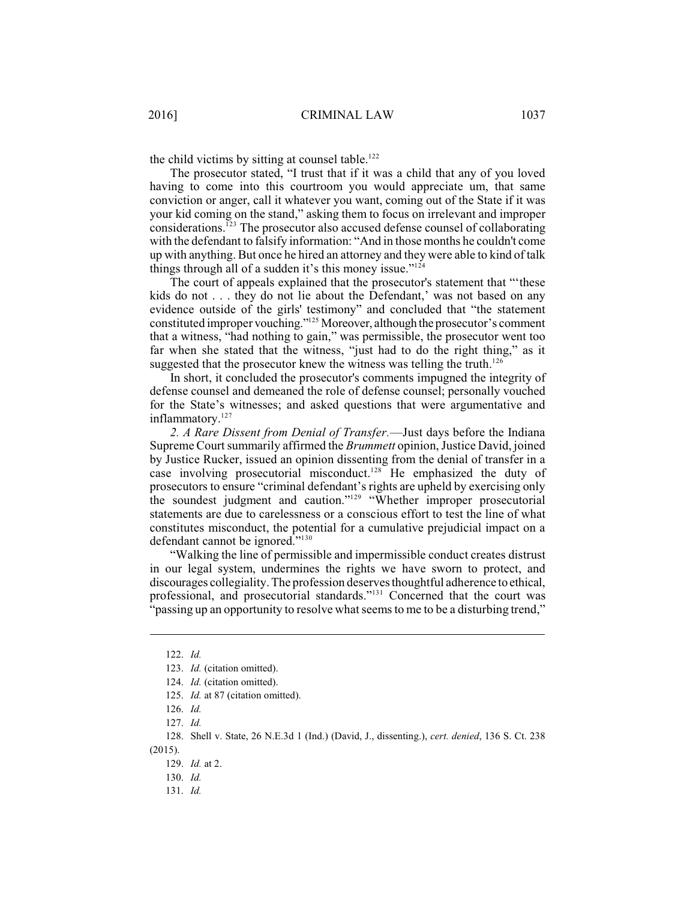the child victims by sitting at counsel table.<sup>122</sup>

The prosecutor stated, "I trust that if it was a child that any of you loved having to come into this courtroom you would appreciate um, that same conviction or anger, call it whatever you want, coming out of the State if it was your kid coming on the stand," asking them to focus on irrelevant and improper considerations.  $I<sup>23</sup>$  The prosecutor also accused defense counsel of collaborating with the defendant to falsify information: "And in those months he couldn't come up with anything. But once he hired an attorney and they were able to kind of talk things through all of a sudden it's this money issue."<sup>124</sup>

The court of appeals explained that the prosecutor's statement that "'these kids do not . . . they do not lie about the Defendant,' was not based on any evidence outside of the girls' testimony" and concluded that "the statement constituted improper vouching."<sup>125</sup> Moreover, although the prosecutor's comment that a witness, "had nothing to gain," was permissible, the prosecutor went too far when she stated that the witness, "just had to do the right thing," as it suggested that the prosecutor knew the witness was telling the truth.<sup>126</sup>

In short, it concluded the prosecutor's comments impugned the integrity of defense counsel and demeaned the role of defense counsel; personally vouched for the State's witnesses; and asked questions that were argumentative and inflammatory.<sup>127</sup>

*2. A Rare Dissent from Denial of Transfer.*—Just days before the Indiana Supreme Court summarily affirmed the *Brummett* opinion, Justice David, joined by Justice Rucker, issued an opinion dissenting from the denial of transfer in a case involving prosecutorial misconduct.<sup>128</sup> He emphasized the duty of prosecutors to ensure "criminal defendant's rights are upheld by exercising only the soundest judgment and caution."<sup>129</sup> "Whether improper prosecutorial statements are due to carelessness or a conscious effort to test the line of what constitutes misconduct, the potential for a cumulative prejudicial impact on a defendant cannot be ignored."<sup>130</sup>

"Walking the line of permissible and impermissible conduct creates distrust in our legal system, undermines the rights we have sworn to protect, and discourages collegiality. The profession deserves thoughtful adherence to ethical, professional, and prosecutorial standards."<sup>131</sup> Concerned that the court was "passing up an opportunity to resolve what seems to me to be a disturbing trend,"

<sup>122.</sup> *Id.*

<sup>123.</sup> *Id.* (citation omitted).

<sup>124.</sup> *Id.* (citation omitted).

<sup>125.</sup> *Id.* at 87 (citation omitted).

<sup>126.</sup> *Id.*

<sup>127.</sup> *Id.*

<sup>128.</sup> Shell v. State, 26 N.E.3d 1 (Ind.) (David, J., dissenting.), *cert. denied*, 136 S. Ct. 238 (2015).

<sup>129.</sup> *Id.* at 2.

<sup>130.</sup> *Id.*

<sup>131.</sup> *Id.*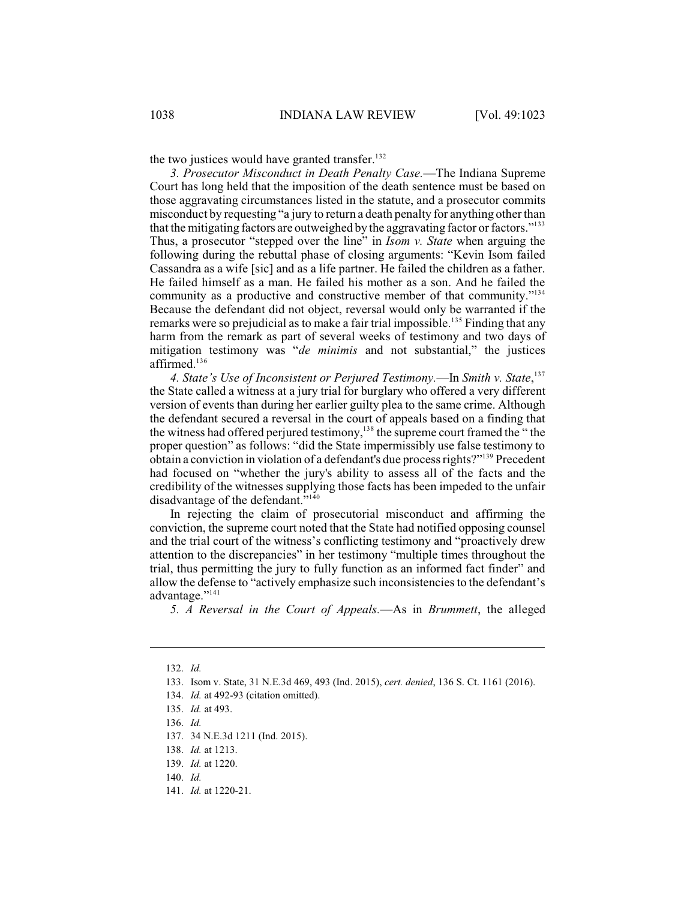the two justices would have granted transfer.<sup>132</sup>

*3. Prosecutor Misconduct in Death Penalty Case.*—The Indiana Supreme Court has long held that the imposition of the death sentence must be based on those aggravating circumstances listed in the statute, and a prosecutor commits misconduct by requesting "a jury to return a death penalty for anything other than that the mitigating factors are outweighed by the aggravating factor or factors."<sup>133</sup> Thus, a prosecutor "stepped over the line" in *Isom v. State* when arguing the following during the rebuttal phase of closing arguments: "Kevin Isom failed Cassandra as a wife [sic] and as a life partner. He failed the children as a father. He failed himself as a man. He failed his mother as a son. And he failed the community as a productive and constructive member of that community."<sup>134</sup> Because the defendant did not object, reversal would only be warranted if the remarks were so prejudicial as to make a fair trial impossible.<sup>135</sup> Finding that any harm from the remark as part of several weeks of testimony and two days of mitigation testimony was "*de minimis* and not substantial," the justices affirmed.<sup>136</sup>

*4. State's Use of Inconsistent or Perjured Testimony.*—In *Smith v. State*, 137 the State called a witness at a jury trial for burglary who offered a very different version of events than during her earlier guilty plea to the same crime. Although the defendant secured a reversal in the court of appeals based on a finding that the witness had offered perjured testimony,<sup>138</sup> the supreme court framed the " the proper question" as follows: "did the State impermissibly use false testimony to obtain a conviction in violation of a defendant's due process rights?"<sup>139</sup> Precedent had focused on "whether the jury's ability to assess all of the facts and the credibility of the witnesses supplying those facts has been impeded to the unfair disadvantage of the defendant."<sup>140</sup>

In rejecting the claim of prosecutorial misconduct and affirming the conviction, the supreme court noted that the State had notified opposing counsel and the trial court of the witness's conflicting testimony and "proactively drew attention to the discrepancies" in her testimony "multiple times throughout the trial, thus permitting the jury to fully function as an informed fact finder" and allow the defense to "actively emphasize such inconsistencies to the defendant's advantage."<sup>141</sup>

*5. A Reversal in the Court of Appeals.*—As in *Brummett*, the alleged

<sup>132.</sup> *Id.*

<sup>133.</sup> Isom v. State, 31 N.E.3d 469, 493 (Ind. 2015), *cert. denied*, 136 S. Ct. 1161 (2016).

<sup>134.</sup> *Id.* at 492-93 (citation omitted).

<sup>135.</sup> *Id.* at 493.

<sup>136.</sup> *Id.*

<sup>137.</sup> 34 N.E.3d 1211 (Ind. 2015).

<sup>138.</sup> *Id.* at 1213.

<sup>139.</sup> *Id.* at 1220.

<sup>140.</sup> *Id.*

<sup>141.</sup> *Id.* at 1220-21.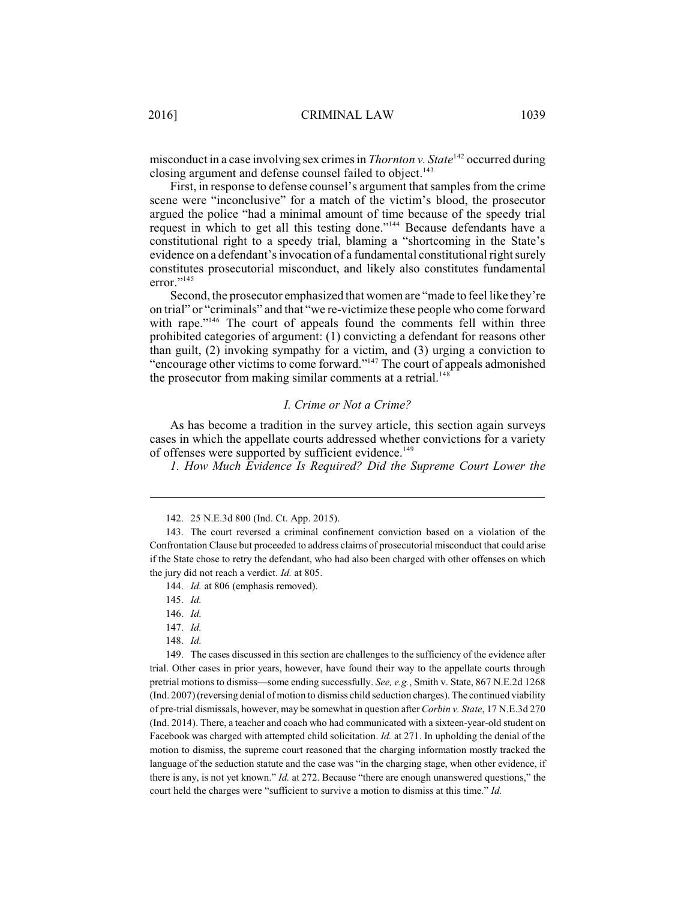misconduct in a case involving sex crimes in *Thornton v. State*<sup>142</sup> occurred during closing argument and defense counsel failed to object.<sup>143</sup>

First, in response to defense counsel's argument that samples from the crime scene were "inconclusive" for a match of the victim's blood, the prosecutor argued the police "had a minimal amount of time because of the speedy trial request in which to get all this testing done."<sup>144</sup> Because defendants have a constitutional right to a speedy trial, blaming a "shortcoming in the State's evidence on a defendant's invocation of a fundamental constitutional right surely constitutes prosecutorial misconduct, and likely also constitutes fundamental error."<sup>145</sup>

Second, the prosecutor emphasized that women are "made to feel like they're on trial" or "criminals" and that "we re-victimize these people who come forward with rape." $146$  The court of appeals found the comments fell within three prohibited categories of argument: (1) convicting a defendant for reasons other than guilt, (2) invoking sympathy for a victim, and (3) urging a conviction to "encourage other victims to come forward."<sup>147</sup> The court of appeals admonished the prosecutor from making similar comments at a retrial.<sup>148</sup>

# *I. Crime or Not a Crime?*

As has become a tradition in the survey article, this section again surveys cases in which the appellate courts addressed whether convictions for a variety of offenses were supported by sufficient evidence.<sup>149</sup>

*1. How Much Evidence Is Required? Did the Supreme Court Lower the*

148. *Id.*

149. The cases discussed in this section are challenges to the sufficiency of the evidence after trial. Other cases in prior years, however, have found their way to the appellate courts through pretrial motions to dismiss—some ending successfully. *See, e.g.*, Smith v. State, 867 N.E.2d 1268 (Ind. 2007) (reversing denial of motion to dismiss child seduction charges). The continued viability of pre-trial dismissals, however, may be somewhat in question after *Corbin v. State*, 17 N.E.3d 270 (Ind. 2014). There, a teacher and coach who had communicated with a sixteen-year-old student on Facebook was charged with attempted child solicitation. *Id.* at 271. In upholding the denial of the motion to dismiss, the supreme court reasoned that the charging information mostly tracked the language of the seduction statute and the case was "in the charging stage, when other evidence, if there is any, is not yet known." *Id.* at 272. Because "there are enough unanswered questions," the court held the charges were "sufficient to survive a motion to dismiss at this time." *Id.*

<sup>142.</sup> 25 N.E.3d 800 (Ind. Ct. App. 2015).

<sup>143.</sup> The court reversed a criminal confinement conviction based on a violation of the Confrontation Clause but proceeded to address claims of prosecutorial misconduct that could arise if the State chose to retry the defendant, who had also been charged with other offenses on which the jury did not reach a verdict. *Id.* at 805.

<sup>144.</sup> *Id.* at 806 (emphasis removed).

<sup>145.</sup> *Id.*

<sup>146.</sup> *Id.*

<sup>147.</sup> *Id.*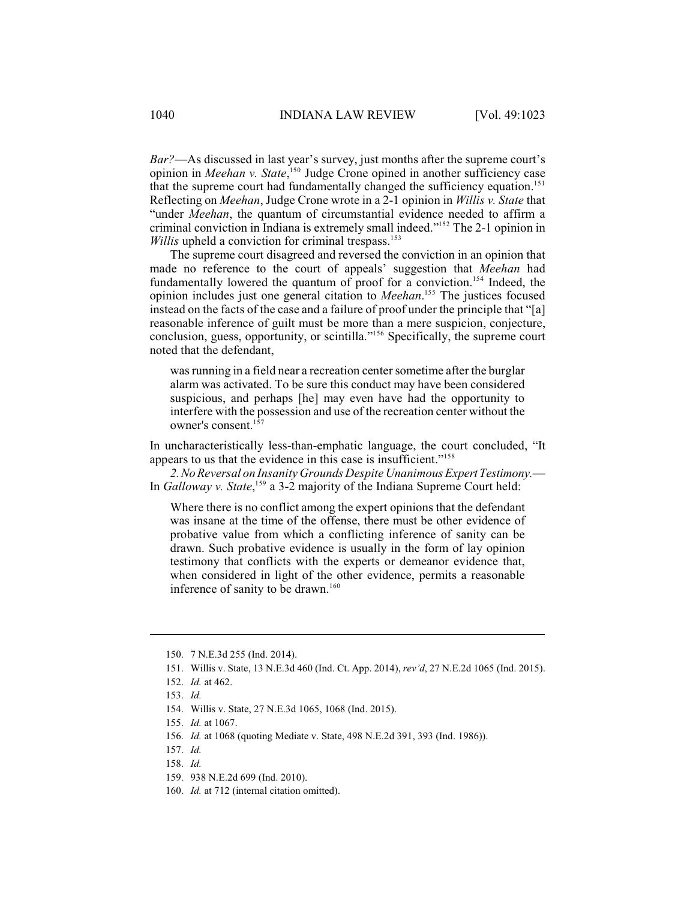*Bar?*—As discussed in last year's survey, just months after the supreme court's opinion in *Meehan v. State*,<sup>150</sup> Judge Crone opined in another sufficiency case that the supreme court had fundamentally changed the sufficiency equation. 151 Reflecting on *Meehan*, Judge Crone wrote in a 2-1 opinion in *Willis v. State* that "under *Meehan*, the quantum of circumstantial evidence needed to affirm a criminal conviction in Indiana is extremely small indeed."<sup>152</sup> The 2-1 opinion in Willis upheld a conviction for criminal trespass.<sup>153</sup>

The supreme court disagreed and reversed the conviction in an opinion that made no reference to the court of appeals' suggestion that *Meehan* had fundamentally lowered the quantum of proof for a conviction.<sup>154</sup> Indeed, the opinion includes just one general citation to *Meehan*.<sup>155</sup> The justices focused instead on the facts of the case and a failure of proof under the principle that "[a] reasonable inference of guilt must be more than a mere suspicion, conjecture, conclusion, guess, opportunity, or scintilla."<sup> $156$ </sup> Specifically, the supreme court noted that the defendant,

was running in a field near a recreation center sometime after the burglar alarm was activated. To be sure this conduct may have been considered suspicious, and perhaps [he] may even have had the opportunity to interfere with the possession and use of the recreation center without the owner's consent. 157

In uncharacteristically less-than-emphatic language, the court concluded, "It appears to us that the evidence in this case is insufficient."<sup>158</sup>

*2.No Reversal on Insanity Grounds Despite UnanimousExpert Testimony.*— In *Galloway v. State*,<sup>159</sup> a 3-2 majority of the Indiana Supreme Court held:

Where there is no conflict among the expert opinions that the defendant was insane at the time of the offense, there must be other evidence of probative value from which a conflicting inference of sanity can be drawn. Such probative evidence is usually in the form of lay opinion testimony that conflicts with the experts or demeanor evidence that, when considered in light of the other evidence, permits a reasonable inference of sanity to be drawn.<sup>160</sup>

<sup>150.</sup> 7 N.E.3d 255 (Ind. 2014).

<sup>151.</sup> Willis v. State, 13 N.E.3d 460 (Ind. Ct. App. 2014), *rev'd*, 27 N.E.2d 1065 (Ind. 2015).

<sup>152.</sup> *Id.* at 462.

<sup>153.</sup> *Id.*

<sup>154.</sup> Willis v. State, 27 N.E.3d 1065, 1068 (Ind. 2015).

<sup>155.</sup> *Id.* at 1067.

<sup>156.</sup> *Id.* at 1068 (quoting Mediate v. State, 498 N.E.2d 391, 393 (Ind. 1986)).

<sup>157.</sup> *Id.*

<sup>158.</sup> *Id.*

<sup>159.</sup> 938 N.E.2d 699 (Ind. 2010).

<sup>160.</sup> *Id.* at 712 (internal citation omitted).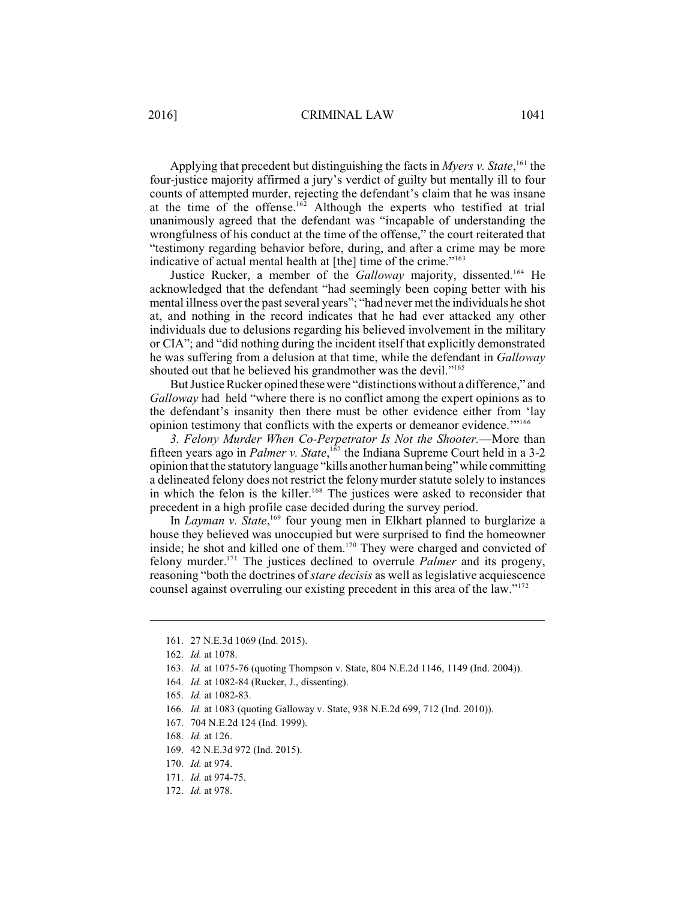Applying that precedent but distinguishing the facts in *Myers*  $v$ . *State*, <sup>161</sup> the four-justice majority affirmed a jury's verdict of guilty but mentally ill to four counts of attempted murder, rejecting the defendant's claim that he was insane at the time of the offense.<sup>162</sup> Although the experts who testified at trial unanimously agreed that the defendant was "incapable of understanding the wrongfulness of his conduct at the time of the offense," the court reiterated that "testimony regarding behavior before, during, and after a crime may be more indicative of actual mental health at [the] time of the crime."<sup>163</sup>

Justice Rucker, a member of the *Galloway* majority, dissented.<sup>164</sup> He acknowledged that the defendant "had seemingly been coping better with his mental illness over the past several years"; "had never met the individuals he shot at, and nothing in the record indicates that he had ever attacked any other individuals due to delusions regarding his believed involvement in the military or CIA"; and "did nothing during the incident itself that explicitly demonstrated he was suffering from a delusion at that time, while the defendant in *Galloway* shouted out that he believed his grandmother was the devil."<sup>165</sup>

But Justice Rucker opined these were "distinctions without a difference," and *Galloway* had held "where there is no conflict among the expert opinions as to the defendant's insanity then there must be other evidence either from 'lay opinion testimony that conflicts with the experts or demeanor evidence.'"<sup>166</sup>

*3. Felony Murder When Co-Perpetrator Is Not the Shooter.*—More than fifteen years ago in *Palmer v. State*,<sup>167</sup> the Indiana Supreme Court held in a 3-2 opinion that the statutory language "kills another human being" while committing a delineated felony does not restrict the felony murder statute solely to instances in which the felon is the killer.<sup>168</sup> The justices were asked to reconsider that precedent in a high profile case decided during the survey period.

In *Layman v. State*,<sup>169</sup> four young men in Elkhart planned to burglarize a house they believed was unoccupied but were surprised to find the homeowner inside; he shot and killed one of them.<sup>170</sup> They were charged and convicted of felony murder.<sup>171</sup> The justices declined to overrule *Palmer* and its progeny, reasoning "both the doctrines of *stare decisis* as well as legislative acquiescence counsel against overruling our existing precedent in this area of the law."<sup>172</sup>

- 163. *Id.* at 1075-76 (quoting Thompson v. State, 804 N.E.2d 1146, 1149 (Ind. 2004)).
- 164. *Id.* at 1082-84 (Rucker, J., dissenting).

- 169. 42 N.E.3d 972 (Ind. 2015).
- 170. *Id.* at 974.
- 171. *Id.* at 974-75.
- 172. *Id.* at 978.

<sup>161.</sup> 27 N.E.3d 1069 (Ind. 2015).

<sup>162.</sup> *Id.* at 1078.

<sup>165.</sup> *Id.* at 1082-83.

<sup>166.</sup> *Id.* at 1083 (quoting Galloway v. State, 938 N.E.2d 699, 712 (Ind. 2010)).

<sup>167.</sup> 704 N.E.2d 124 (Ind. 1999).

<sup>168.</sup> *Id.* at 126.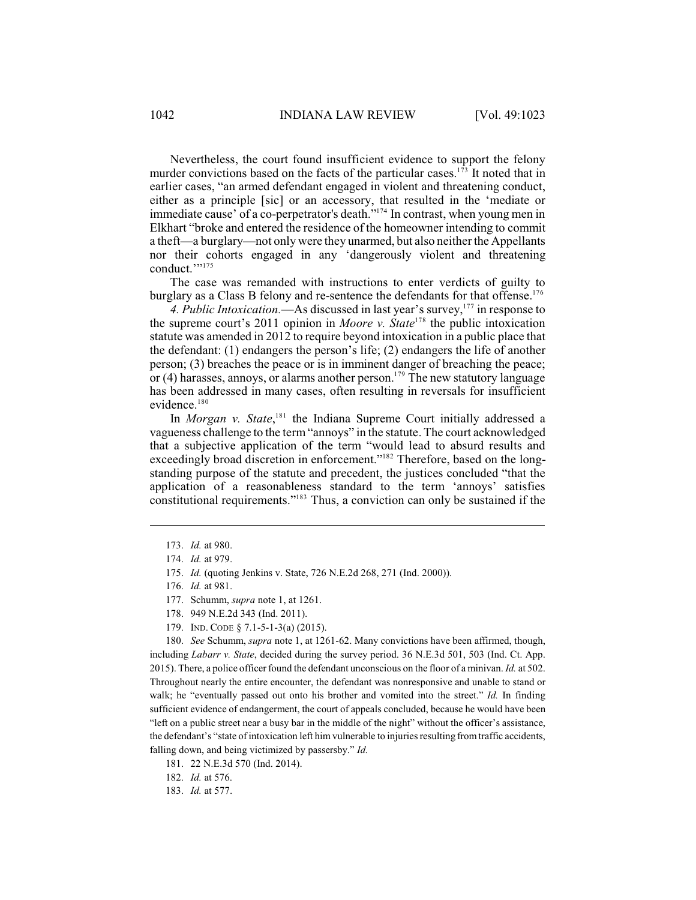Nevertheless, the court found insufficient evidence to support the felony murder convictions based on the facts of the particular cases.<sup>173</sup> It noted that in earlier cases, "an armed defendant engaged in violent and threatening conduct, either as a principle [sic] or an accessory, that resulted in the 'mediate or immediate cause' of a co-perpetrator's death."<sup>174</sup> In contrast, when young men in Elkhart "broke and entered the residence of the homeowner intending to commit a theft—a burglary—not only were they unarmed, but also neither the Appellants nor their cohorts engaged in any 'dangerously violent and threatening conduct.'" 175

The case was remanded with instructions to enter verdicts of guilty to burglary as a Class B felony and re-sentence the defendants for that offense.<sup>176</sup>

4. Public Intoxication.—As discussed in last year's survey,<sup>177</sup> in response to the supreme court's 2011 opinion in *Moore v.* State<sup>178</sup> the public intoxication statute was amended in 2012 to require beyond intoxication in a public place that the defendant: (1) endangers the person's life; (2) endangers the life of another person; (3) breaches the peace or is in imminent danger of breaching the peace; or (4) harasses, annoys, or alarms another person.<sup>179</sup> The new statutory language has been addressed in many cases, often resulting in reversals for insufficient evidence.<sup>180</sup>

In *Morgan v. State*,<sup>181</sup> the Indiana Supreme Court initially addressed a vagueness challenge to the term "annoys" in the statute. The court acknowledged that a subjective application of the term "would lead to absurd results and exceedingly broad discretion in enforcement."<sup>182</sup> Therefore, based on the longstanding purpose of the statute and precedent, the justices concluded "that the application of a reasonableness standard to the term 'annoys' satisfies constitutional requirements." $183$  Thus, a conviction can only be sustained if the

180. *See* Schumm, *supra* note 1, at 1261-62. Many convictions have been affirmed, though, including *Labarr v. State*, decided during the survey period. 36 N.E.3d 501, 503 (Ind. Ct. App. 2015). There, a police officer found the defendant unconscious on the floor of a minivan. *Id.* at 502. Throughout nearly the entire encounter, the defendant was nonresponsive and unable to stand or walk; he "eventually passed out onto his brother and vomited into the street." *Id.* In finding sufficient evidence of endangerment, the court of appeals concluded, because he would have been "left on a public street near a busy bar in the middle of the night" without the officer's assistance, the defendant's "state of intoxication left him vulnerable to injuries resulting from traffic accidents, falling down, and being victimized by passersby." *Id.*

181. 22 N.E.3d 570 (Ind. 2014).

182. *Id.* at 576.

183. *Id.* at 577.

<sup>173.</sup> *Id.* at 980.

<sup>174.</sup> *Id.* at 979.

<sup>175.</sup> *Id.* (quoting Jenkins v. State, 726 N.E.2d 268, 271 (Ind. 2000)).

<sup>176.</sup> *Id.* at 981.

<sup>177.</sup> Schumm, *supra* note 1, at 1261.

<sup>178.</sup> 949 N.E.2d 343 (Ind. 2011).

<sup>179.</sup> IND. CODE § 7.1-5-1-3(a) (2015).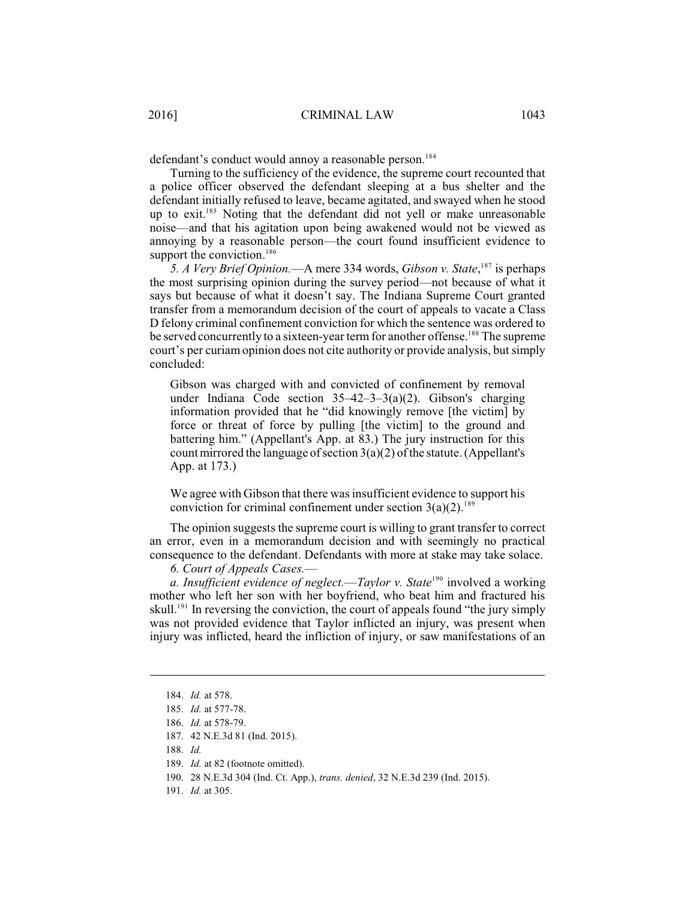defendant's conduct would annoy a reasonable person.<sup>184</sup>

Turning to the sufficiency of the evidence, the supreme court recounted that a police officer observed the defendant sleeping at a bus shelter and the defendant initially refused to leave, became agitated, and swayed when he stood up to exit.<sup>185</sup> Noting that the defendant did not yell or make unreasonable noise—and that his agitation upon being awakened would not be viewed as annoying by a reasonable person—the court found insufficient evidence to support the conviction.<sup>186</sup>

5. A Very Brief Opinion.—A mere 334 words, Gibson v. State,<sup>187</sup> is perhaps the most surprising opinion during the survey period—not because of what it says but because of what it doesn't say. The Indiana Supreme Court granted transfer from a memorandum decision of the court of appeals to vacate a Class D felony criminal confinement conviction for which the sentence was ordered to be served concurrently to a sixteen-year term for another offense.<sup>188</sup> The supreme court's per curiam opinion does not cite authority or provide analysis, but simply concluded:

Gibson was charged with and convicted of confinement by removal under Indiana Code section 35–42–3–3(a)(2). Gibson's charging information provided that he "did knowingly remove [the victim] by force or threat of force by pulling [the victim] to the ground and battering him." (Appellant's App. at 83.) The jury instruction for this count mirrored the language of section  $3(a)(2)$  of the statute. (Appellant's App. at 173.)

We agree with Gibson that there was insufficient evidence to support his conviction for criminal confinement under section  $3(a)(2)$ .<sup>189</sup>

The opinion suggests the supreme court is willing to grant transfer to correct an error, even in a memorandum decision and with seemingly no practical consequence to the defendant. Defendants with more at stake may take solace.

*6. Court of Appeals Cases.*—

a. Insufficient evidence of neglect.—Taylor v. State<sup>190</sup> involved a working mother who left her son with her boyfriend, who beat him and fractured his skull.<sup>191</sup> In reversing the conviction, the court of appeals found "the jury simply was not provided evidence that Taylor inflicted an injury, was present when injury was inflicted, heard the infliction of injury, or saw manifestations of an

<sup>184.</sup> *Id.* at 578.

<sup>185.</sup> *Id.* at 577-78.

<sup>186.</sup> *Id.* at 578-79.

<sup>187.</sup> 42 N.E.3d 81 (Ind. 2015).

<sup>188.</sup> *Id.*

<sup>189.</sup> *Id.* at 82 (footnote omitted).

<sup>190.</sup> 28 N.E.3d 304 (Ind. Ct. App.), *trans. denied*, 32 N.E.3d 239 (Ind. 2015).

<sup>191.</sup> *Id.* at 305.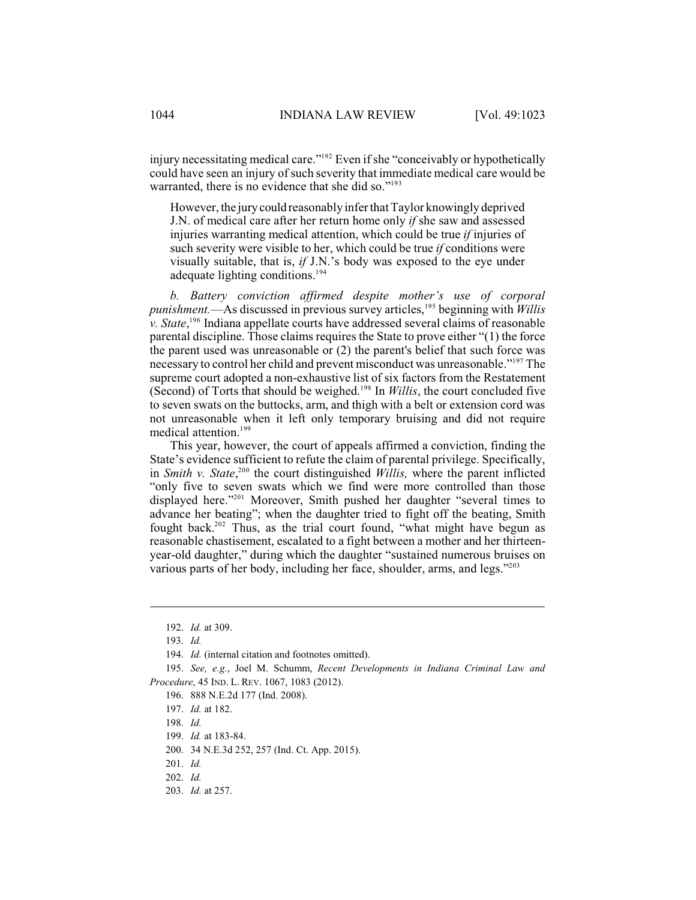injury necessitating medical care."<sup>192</sup> Even if she "conceivably or hypothetically could have seen an injury of such severity that immediate medical care would be warranted, there is no evidence that she did so." $193$ 

However, the jurycould reasonably inferthat Taylor knowingly deprived J.N. of medical care after her return home only *if* she saw and assessed injuries warranting medical attention, which could be true *if* injuries of such severity were visible to her, which could be true *if* conditions were visually suitable, that is, *if* J.N.'s body was exposed to the eye under adequate lighting conditions. 194

*b. Battery conviction affirmed despite mother's use of corporal* punishment.—As discussed in previous survey articles,<sup>195</sup> beginning with *Willis*  $\dot{v}$ . *State*, <sup>196</sup> Indiana appellate courts have addressed several claims of reasonable parental discipline. Those claims requires the State to prove either "(1) the force the parent used was unreasonable or (2) the parent's belief that such force was necessary to control her child and prevent misconduct was unreasonable."<sup>197</sup> The supreme court adopted a non-exhaustive list of six factors from the Restatement (Second) of Torts that should be weighed.<sup>198</sup> In *Willis*, the court concluded five to seven swats on the buttocks, arm, and thigh with a belt or extension cord was not unreasonable when it left only temporary bruising and did not require medical attention.<sup>199</sup>

This year, however, the court of appeals affirmed a conviction, finding the State's evidence sufficient to refute the claim of parental privilege. Specifically, in *Smith v. State*,<sup>200</sup> the court distinguished *Willis*, where the parent inflicted "only five to seven swats which we find were more controlled than those displayed here."<sup>201</sup> Moreover, Smith pushed her daughter "several times to advance her beating"; when the daughter tried to fight off the beating, Smith fought back.<sup>202</sup> Thus, as the trial court found, "what might have begun as reasonable chastisement, escalated to a fight between a mother and her thirteenyear-old daughter," during which the daughter "sustained numerous bruises on various parts of her body, including her face, shoulder, arms, and legs."<sup>203</sup>

<sup>192.</sup> *Id.* at 309.

<sup>193.</sup> *Id.*

<sup>194.</sup> *Id.* (internal citation and footnotes omitted).

<sup>195.</sup> *See, e.g.*, Joel M. Schumm, *Recent Developments in Indiana Criminal Law and Procedure*, 45 IND. L. REV. 1067, 1083 (2012).

<sup>196.</sup> 888 N.E.2d 177 (Ind. 2008).

<sup>197.</sup> *Id.* at 182.

<sup>198.</sup> *Id.*

<sup>199.</sup> *Id.* at 183-84.

<sup>200.</sup> 34 N.E.3d 252, 257 (Ind. Ct. App. 2015).

<sup>201.</sup> *Id.*

<sup>202.</sup> *Id.*

<sup>203.</sup> *Id.* at 257.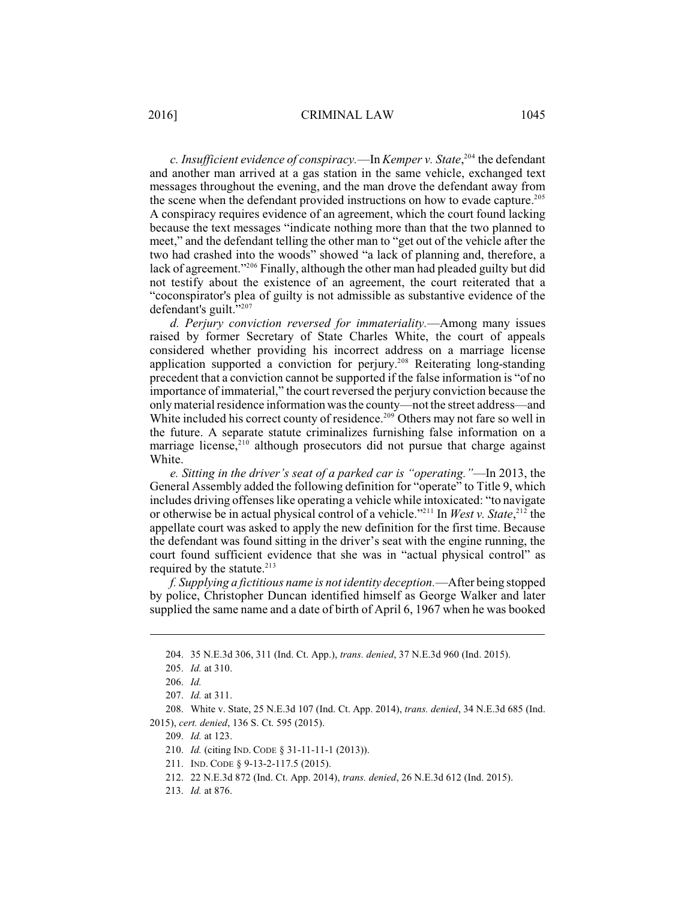*c. Insufficient evidence of conspiracy.*—In *Kemper v. State*,<sup>204</sup> the defendant and another man arrived at a gas station in the same vehicle, exchanged text messages throughout the evening, and the man drove the defendant away from the scene when the defendant provided instructions on how to evade capture. 205 A conspiracy requires evidence of an agreement, which the court found lacking because the text messages "indicate nothing more than that the two planned to meet," and the defendant telling the other man to "get out of the vehicle after the two had crashed into the woods" showed "a lack of planning and, therefore, a lack of agreement."<sup>206</sup> Finally, although the other man had pleaded guilty but did not testify about the existence of an agreement, the court reiterated that a "coconspirator's plea of guilty is not admissible as substantive evidence of the defendant's guilt."<sup>207</sup>

*d. Perjury conviction reversed for immateriality.*—Among many issues raised by former Secretary of State Charles White, the court of appeals considered whether providing his incorrect address on a marriage license application supported a conviction for perjury.<sup>208</sup> Reiterating long-standing precedent that a conviction cannot be supported if the false information is "of no importance of immaterial," the court reversed the perjury conviction because the only material residence information was the county—not the street address—and White included his correct county of residence.<sup>209</sup> Others may not fare so well in the future. A separate statute criminalizes furnishing false information on a marriage license, $210$  although prosecutors did not pursue that charge against White.

*e. Sitting in the driver's seat of a parked car is "operating."*—In 2013, the General Assembly added the following definition for "operate" to Title 9, which includes driving offenses like operating a vehicle while intoxicated: "to navigate or otherwise be in actual physical control of a vehicle."<sup>211</sup> In *West v. State*,<sup>212</sup> the appellate court was asked to apply the new definition for the first time. Because the defendant was found sitting in the driver's seat with the engine running, the court found sufficient evidence that she was in "actual physical control" as required by the statute. $213$ 

*f. Supplying a fictitious name is not identity deception.*—After being stopped by police, Christopher Duncan identified himself as George Walker and later supplied the same name and a date of birth of April 6, 1967 when he was booked

<sup>204.</sup> 35 N.E.3d 306, 311 (Ind. Ct. App.), *trans. denied*, 37 N.E.3d 960 (Ind. 2015).

<sup>205.</sup> *Id.* at 310.

<sup>206.</sup> *Id.*

<sup>207.</sup> *Id.* at 311.

<sup>208.</sup> White v. State, 25 N.E.3d 107 (Ind. Ct. App. 2014), *trans. denied*, 34 N.E.3d 685 (Ind. 2015), *cert. denied*, 136 S. Ct. 595 (2015).

<sup>209.</sup> *Id.* at 123.

<sup>210.</sup> *Id.* (citing IND. CODE § 31-11-11-1 (2013)).

<sup>211.</sup> IND. CODE § 9-13-2-117.5 (2015).

<sup>212.</sup> 22 N.E.3d 872 (Ind. Ct. App. 2014), *trans. denied*, 26 N.E.3d 612 (Ind. 2015).

<sup>213.</sup> *Id.* at 876.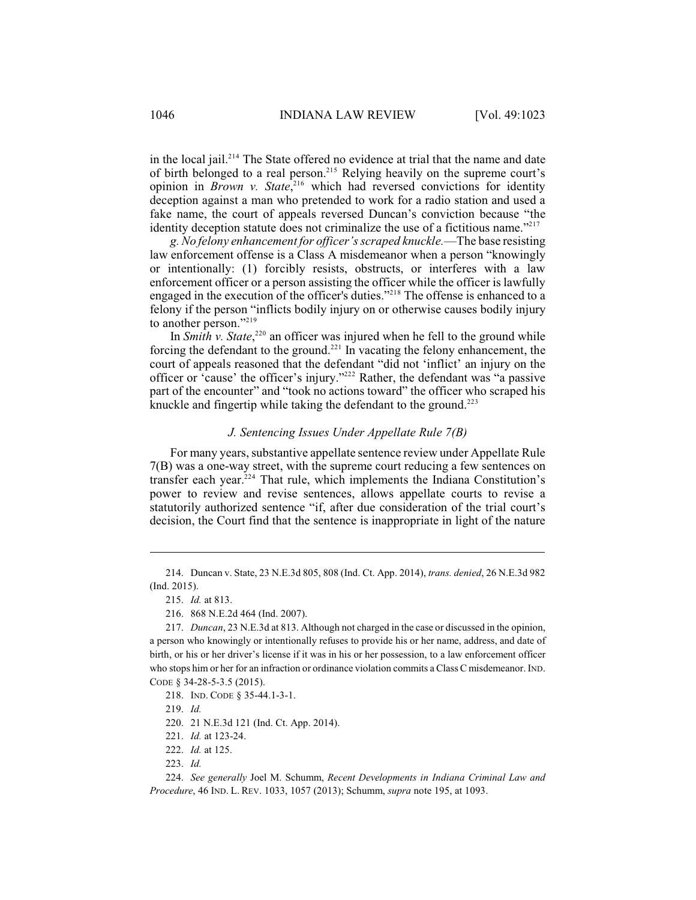in the local jail. $2^{14}$  The State offered no evidence at trial that the name and date of birth belonged to a real person.<sup>215</sup> Relying heavily on the supreme court's opinion in *Brown v. State*,<sup>216</sup> which had reversed convictions for identity deception against a man who pretended to work for a radio station and used a fake name, the court of appeals reversed Duncan's conviction because "the identity deception statute does not criminalize the use of a fictitious name. $^{2217}$ 

*g. No felony enhancement for officer's scraped knuckle.*—The base resisting law enforcement offense is a Class A misdemeanor when a person "knowingly or intentionally: (1) forcibly resists, obstructs, or interferes with a law enforcement officer or a person assisting the officer while the officer is lawfully engaged in the execution of the officer's duties."<sup>218</sup> The offense is enhanced to a felony if the person "inflicts bodily injury on or otherwise causes bodily injury to another person."<sup>219</sup>

In *Smith v. State*, $220$  an officer was injured when he fell to the ground while forcing the defendant to the ground.<sup>221</sup> In vacating the felony enhancement, the court of appeals reasoned that the defendant "did not 'inflict' an injury on the officer or 'cause' the officer's injury."<sup>222</sup> Rather, the defendant was "a passive part of the encounter" and "took no actions toward" the officer who scraped his knuckle and fingertip while taking the defendant to the ground.<sup>223</sup>

### *J. Sentencing Issues Under Appellate Rule 7(B)*

For many years, substantive appellate sentence review under Appellate Rule 7(B) was a one-way street, with the supreme court reducing a few sentences on transfer each year. $224$  That rule, which implements the Indiana Constitution's power to review and revise sentences, allows appellate courts to revise a statutorily authorized sentence "if, after due consideration of the trial court's decision, the Court find that the sentence is inappropriate in light of the nature

218. IND. CODE § 35-44.1-3-1.

219. *Id.*

220. 21 N.E.3d 121 (Ind. Ct. App. 2014).

221. *Id.* at 123-24.

223. *Id.*

<sup>214.</sup> Duncan v. State, 23 N.E.3d 805, 808 (Ind. Ct. App. 2014), *trans. denied*, 26 N.E.3d 982 (Ind. 2015).

<sup>215.</sup> *Id.* at 813.

<sup>216.</sup> 868 N.E.2d 464 (Ind. 2007).

<sup>217.</sup> *Duncan*, 23 N.E.3d at 813. Although not charged in the case or discussed in the opinion, a person who knowingly or intentionally refuses to provide his or her name, address, and date of birth, or his or her driver's license if it was in his or her possession, to a law enforcement officer who stops him or her for an infraction or ordinance violation commits a Class C misdemeanor. IND. CODE § 34-28-5-3.5 (2015).

<sup>222.</sup> *Id.* at 125.

<sup>224.</sup> *See generally* Joel M. Schumm, *Recent Developments in Indiana Criminal Law and Procedure*, 46 IND. L. REV. 1033, 1057 (2013); Schumm, *supra* note 195, at 1093.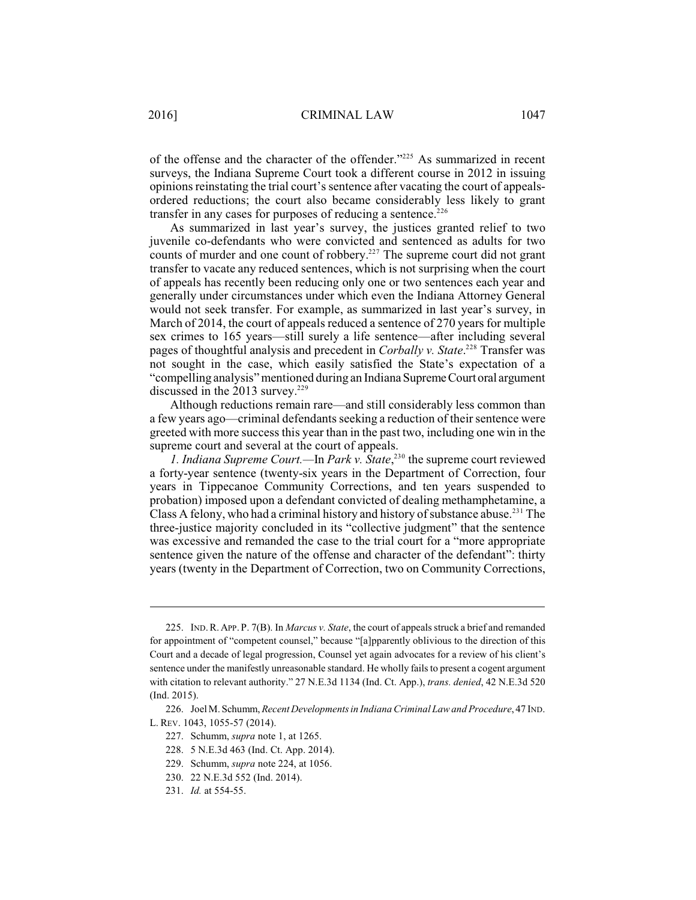of the offense and the character of the offender."<sup>225</sup> As summarized in recent surveys, the Indiana Supreme Court took a different course in 2012 in issuing opinions reinstating the trial court's sentence after vacating the court of appealsordered reductions; the court also became considerably less likely to grant transfer in any cases for purposes of reducing a sentence.<sup>226</sup>

As summarized in last year's survey, the justices granted relief to two juvenile co-defendants who were convicted and sentenced as adults for two counts of murder and one count of robbery. $227$  The supreme court did not grant transfer to vacate any reduced sentences, which is not surprising when the court of appeals has recently been reducing only one or two sentences each year and generally under circumstances under which even the Indiana Attorney General would not seek transfer. For example, as summarized in last year's survey, in March of 2014, the court of appeals reduced a sentence of 270 years for multiple sex crimes to 165 years—still surely a life sentence—after including several pages of thoughtful analysis and precedent in *Corbally v. State*.<sup>228</sup> Transfer was not sought in the case, which easily satisfied the State's expectation of a "compelling analysis" mentioned during an IndianaSupreme Courtoral argument discussed in the 2013 survey.<sup>229</sup>

Although reductions remain rare—and still considerably less common than a few years ago—criminal defendants seeking a reduction of their sentence were greeted with more success this year than in the past two, including one win in the supreme court and several at the court of appeals.

*1. Indiana Supreme Court.—In Park v. State*<sup>230</sup> the supreme court reviewed a forty-year sentence (twenty-six years in the Department of Correction, four years in Tippecanoe Community Corrections, and ten years suspended to probation) imposed upon a defendant convicted of dealing methamphetamine, a Class A felony, who had a criminal history and history of substance abuse.<sup>231</sup> The three-justice majority concluded in its "collective judgment" that the sentence was excessive and remanded the case to the trial court for a "more appropriate sentence given the nature of the offense and character of the defendant": thirty years (twenty in the Department of Correction, two on Community Corrections,

<sup>225.</sup> IND.R. APP. P. 7(B). In *Marcus v. State*, the court of appeals struck a brief and remanded for appointment of "competent counsel," because "[a]pparently oblivious to the direction of this Court and a decade of legal progression, Counsel yet again advocates for a review of his client's sentence under the manifestly unreasonable standard. He wholly fails to present a cogent argument with citation to relevant authority." 27 N.E.3d 1134 (Ind. Ct. App.), *trans. denied*, 42 N.E.3d 520 (Ind. 2015).

<sup>226.</sup> Joel M. Schumm, *Recent Developments in Indiana Criminal Law and Procedure*, 47 IND. L. REV. 1043, 1055-57 (2014).

<sup>227.</sup> Schumm, *supra* note 1, at 1265.

<sup>228.</sup> 5 N.E.3d 463 (Ind. Ct. App. 2014).

<sup>229.</sup> Schumm, *supra* note 224, at 1056.

<sup>230.</sup> 22 N.E.3d 552 (Ind. 2014).

<sup>231.</sup> *Id.* at 554-55.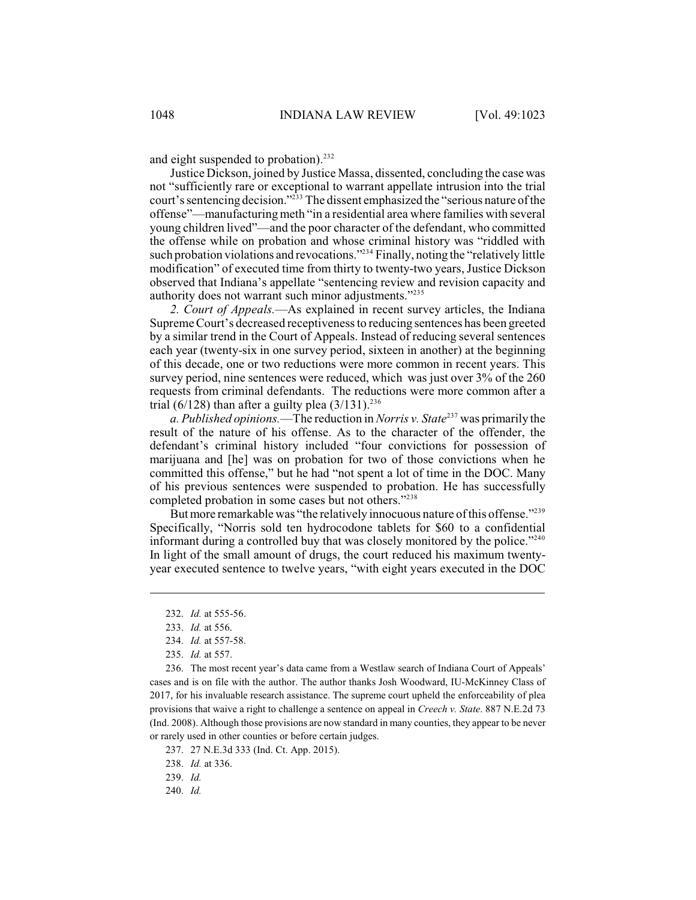and eight suspended to probation). 232

Justice Dickson, joined by Justice Massa, dissented, concluding the case was not "sufficiently rare or exceptional to warrant appellate intrusion into the trial court's sentencing decision."<sup>233</sup> The dissent emphasized the "serious nature of the offense"—manufacturing meth "in a residential area where families with several young children lived"—and the poor character of the defendant, who committed the offense while on probation and whose criminal history was "riddled with such probation violations and revocations."<sup> $234$ </sup> Finally, noting the "relatively little modification" of executed time from thirty to twenty-two years, Justice Dickson observed that Indiana's appellate "sentencing review and revision capacity and authority does not warrant such minor adjustments."<sup>235</sup>

*2. Court of Appeals.*—As explained in recent survey articles, the Indiana Supreme Court's decreased receptivenessto reducing sentences has been greeted by a similar trend in the Court of Appeals. Instead of reducing several sentences each year (twenty-six in one survey period, sixteen in another) at the beginning of this decade, one or two reductions were more common in recent years. This survey period, nine sentences were reduced, which was just over 3% of the 260 requests from criminal defendants. The reductions were more common after a trial (6/128) than after a guilty plea  $(3/131).^{236}$ 

*a. Published opinions.*—The reduction in *Norris v. State*<sup>237</sup> was primarily the result of the nature of his offense. As to the character of the offender, the defendant's criminal history included "four convictions for possession of marijuana and [he] was on probation for two of those convictions when he committed this offense," but he had "not spent a lot of time in the DOC. Many of his previous sentences were suspended to probation. He has successfully completed probation in some cases but not others."<sup>238</sup>

But more remarkable was "the relatively innocuous nature of this offense."<sup>239</sup> Specifically, "Norris sold ten hydrocodone tablets for \$60 to a confidential informant during a controlled buy that was closely monitored by the police."<sup>240</sup> In light of the small amount of drugs, the court reduced his maximum twentyyear executed sentence to twelve years, "with eight years executed in the DOC

236. The most recent year's data came from a Westlaw search of Indiana Court of Appeals' cases and is on file with the author. The author thanks Josh Woodward, IU-McKinney Class of 2017, for his invaluable research assistance. The supreme court upheld the enforceability of plea provisions that waive a right to challenge a sentence on appeal in *Creech v. State*. 887 N.E.2d 73 (Ind. 2008). Although those provisions are now standard in many counties, they appear to be never or rarely used in other counties or before certain judges.

237. 27 N.E.3d 333 (Ind. Ct. App. 2015).

238. *Id.* at 336.

239. *Id.*

240. *Id.*

<sup>232.</sup> *Id.* at 555-56.

<sup>233.</sup> *Id.* at 556.

<sup>234.</sup> *Id.* at 557-58.

<sup>235.</sup> *Id.* at 557.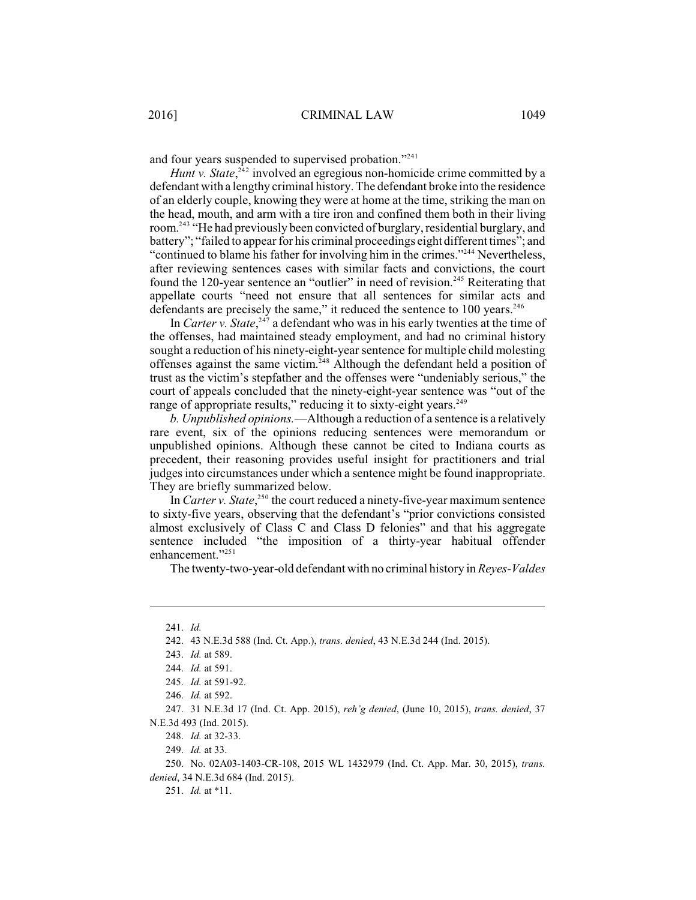and four years suspended to supervised probation."<sup>241</sup>

*Hunt v*. *State*,<sup>242</sup> involved an egregious non-homicide crime committed by a defendant with a lengthy criminal history. The defendant broke into the residence of an elderly couple, knowing they were at home at the time, striking the man on the head, mouth, and arm with a tire iron and confined them both in their living room.<sup>243</sup> "He had previously been convicted of burglary, residential burglary, and battery"; "failed to appear for his criminal proceedings eight different times"; and "continued to blame his father for involving him in the crimes."<sup>244</sup> Nevertheless, after reviewing sentences cases with similar facts and convictions, the court found the 120-year sentence an "outlier" in need of revision.<sup>245</sup> Reiterating that appellate courts "need not ensure that all sentences for similar acts and defendants are precisely the same," it reduced the sentence to  $100$  years.<sup>246</sup>

In *Carter v. State*,  $247$  a defendant who was in his early twenties at the time of the offenses, had maintained steady employment, and had no criminal history sought a reduction of his ninety-eight-year sentence for multiple child molesting offenses against the same victim.<sup> $248$ </sup> Although the defendant held a position of trust as the victim's stepfather and the offenses were "undeniably serious," the court of appeals concluded that the ninety-eight-year sentence was "out of the range of appropriate results," reducing it to sixty-eight years.<sup>249</sup>

*b. Unpublished opinions.*—Although a reduction of a sentence is a relatively rare event, six of the opinions reducing sentences were memorandum or unpublished opinions. Although these cannot be cited to Indiana courts as precedent, their reasoning provides useful insight for practitioners and trial judges into circumstances under which a sentence might be found inappropriate. They are briefly summarized below.

In *Carter v. State*,<sup>250</sup> the court reduced a ninety-five-year maximum sentence to sixty-five years, observing that the defendant's "prior convictions consisted almost exclusively of Class C and Class D felonies" and that his aggregate sentence included "the imposition of a thirty-year habitual offender enhancement."<sup>251</sup>

The twenty-two-year-old defendant with no criminal history in *Reyes-Valdes*

<sup>241.</sup> *Id.*

<sup>242.</sup> 43 N.E.3d 588 (Ind. Ct. App.), *trans. denied*, 43 N.E.3d 244 (Ind. 2015).

<sup>243.</sup> *Id.* at 589.

<sup>244.</sup> *Id.* at 591.

<sup>245.</sup> *Id.* at 591-92.

<sup>246.</sup> *Id.* at 592.

<sup>247.</sup> 31 N.E.3d 17 (Ind. Ct. App. 2015), *reh'g denied*, (June 10, 2015), *trans. denied*, 37 N.E.3d 493 (Ind. 2015).

<sup>248.</sup> *Id.* at 32-33.

<sup>249.</sup> *Id.* at 33.

<sup>250.</sup> No. 02A03-1403-CR-108, 2015 WL 1432979 (Ind. Ct. App. Mar. 30, 2015), *trans. denied*, 34 N.E.3d 684 (Ind. 2015).

<sup>251.</sup> *Id.* at \*11.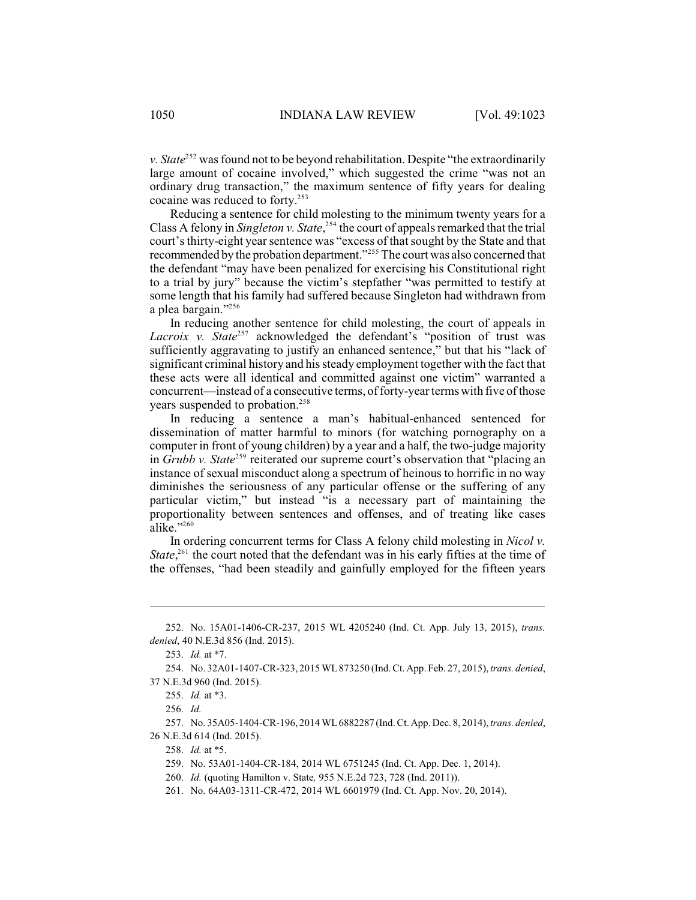*v. State*<sup>252</sup> was found not to be beyond rehabilitation. Despite "the extraordinarily large amount of cocaine involved," which suggested the crime "was not an ordinary drug transaction," the maximum sentence of fifty years for dealing cocaine was reduced to forty.<sup>253</sup>

Reducing a sentence for child molesting to the minimum twenty years for a Class A felony in *Singleton v. State*,<sup>254</sup> the court of appeals remarked that the trial court'sthirty-eight year sentence was "excess of that sought by the State and that recommended by the probation department."<sup>255</sup> The court was also concerned that the defendant "may have been penalized for exercising his Constitutional right to a trial by jury" because the victim's stepfather "was permitted to testify at some length that his family had suffered because Singleton had withdrawn from a plea bargain."<sup>256</sup>

In reducing another sentence for child molesting, the court of appeals in *Lacroix v.* State<sup>257</sup> acknowledged the defendant's "position of trust was sufficiently aggravating to justify an enhanced sentence," but that his "lack of significant criminal history and hissteady employment together with the fact that these acts were all identical and committed against one victim" warranted a concurrent—instead of a consecutive terms, of forty-year terms with five of those years suspended to probation.<sup>258</sup>

In reducing a sentence a man's habitual-enhanced sentenced for dissemination of matter harmful to minors (for watching pornography on a computer in front of young children) by a year and a half, the two-judge majority in *Grubb v. State*<sup>259</sup> reiterated our supreme court's observation that "placing an instance of sexual misconduct along a spectrum of heinous to horrific in no way diminishes the seriousness of any particular offense or the suffering of any particular victim," but instead "is a necessary part of maintaining the proportionality between sentences and offenses, and of treating like cases alike."<sup>260</sup>

In ordering concurrent terms for Class A felony child molesting in *Nicol v. State*<sup> $261$ </sup>, the court noted that the defendant was in his early fifties at the time of the offenses, "had been steadily and gainfully employed for the fifteen years

<sup>252.</sup> No. 15A01-1406-CR-237, 2015 WL 4205240 (Ind. Ct. App. July 13, 2015), *trans. denied*, 40 N.E.3d 856 (Ind. 2015).

<sup>253.</sup> *Id.* at \*7.

<sup>254.</sup> No. 32A01-1407-CR-323, 2015 WL873250 (Ind. Ct. App. Feb. 27, 2015), *trans. denied*, 37 N.E.3d 960 (Ind. 2015).

<sup>255.</sup> *Id.* at \*3.

<sup>256.</sup> *Id.*

<sup>257.</sup> No. 35A05-1404-CR-196, 2014 WL6882287 (Ind. Ct. App. Dec. 8, 2014), *trans. denied*, 26 N.E.3d 614 (Ind. 2015).

<sup>258.</sup> *Id.* at \*5.

<sup>259.</sup> No. 53A01-1404-CR-184, 2014 WL 6751245 (Ind. Ct. App. Dec. 1, 2014).

<sup>260.</sup> *Id.* (quoting Hamilton v. State*,* 955 N.E.2d 723, 728 (Ind. 2011)).

<sup>261.</sup> No. 64A03-1311-CR-472, 2014 WL 6601979 (Ind. Ct. App. Nov. 20, 2014).